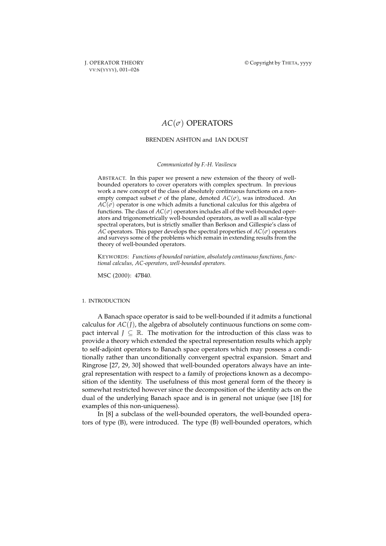# BRENDEN ASHTON and IAN DOUST

*Communicated by F.-H. Vasilescu*

ABSTRACT. In this paper we present a new extension of the theory of wellbounded operators to cover operators with complex spectrum. In previous work a new concept of the class of absolutely continuous functions on a nonempty compact subset  $\sigma$  of the plane, denoted  $AC(\sigma)$ , was introduced. An  $AC(\sigma)$  operator is one which admits a functional calculus for this algebra of functions. The class of  $AC(\sigma)$  operators includes all of the well-bounded operators and trigonometrically well-bounded operators, as well as all scalar-type spectral operators, but is strictly smaller than Berkson and Gillespie's class of *AC* operators. This paper develops the spectral properties of  $AC(\sigma)$  operators and surveys some of the problems which remain in extending results from the theory of well-bounded operators.

KEYWORDS: *Functions of bounded variation, absolutely continuous functions, functional calculus, AC-operators, well-bounded operators.*

MSC (2000): 47B40.

# 1. INTRODUCTION

A Banach space operator is said to be well-bounded if it admits a functional calculus for *AC*(*J*), the algebra of absolutely continuous functions on some compact interval *J*  $\subseteq \mathbb{R}$ . The motivation for the introduction of this class was to provide a theory which extended the spectral representation results which apply to self-adjoint operators to Banach space operators which may possess a conditionally rather than unconditionally convergent spectral expansion. Smart and Ringrose [27, 29, 30] showed that well-bounded operators always have an integral representation with respect to a family of projections known as a decomposition of the identity. The usefulness of this most general form of the theory is somewhat restricted however since the decomposition of the identity acts on the dual of the underlying Banach space and is in general not unique (see [18] for examples of this non-uniqueness).

In [8] a subclass of the well-bounded operators, the well-bounded operators of type (B), were introduced. The type (B) well-bounded operators, which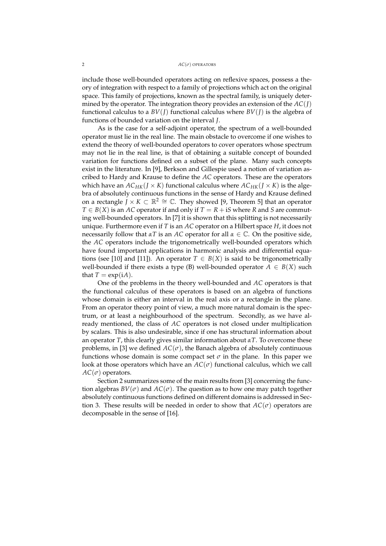include those well-bounded operators acting on reflexive spaces, possess a theory of integration with respect to a family of projections which act on the original space. This family of projections, known as the spectral family, is uniquely determined by the operator. The integration theory provides an extension of the *AC*(*J*) functional calculus to a  $BV(I)$  functional calculus where  $BV(I)$  is the algebra of functions of bounded variation on the interval *J*.

As is the case for a self-adjoint operator, the spectrum of a well-bounded operator must lie in the real line. The main obstacle to overcome if one wishes to extend the theory of well-bounded operators to cover operators whose spectrum may not lie in the real line, is that of obtaining a suitable concept of bounded variation for functions defined on a subset of the plane. Many such concepts exist in the literature. In [9], Berkson and Gillespie used a notion of variation ascribed to Hardy and Krause to define the *AC* operators. These are the operators which have an  $AC_{HK}(J \times K)$  functional calculus where  $AC_{HK}(J \times K)$  is the algebra of absolutely continuous functions in the sense of Hardy and Krause defined on a rectangle *J* × *K* ⊂  $\mathbb{R}^2 \cong \mathbb{C}$ . They showed [9, Theorem 5] that an operator *T* ∈ *B*(*X*) is an *AC* operator if and only if *T* = *R* + i*S* where *R* and *S* are commuting well-bounded operators. In [7] it is shown that this splitting is not necessarily unique. Furthermore even if *T* is an *AC* operator on a Hilbert space *H*, it does not necessarily follow that  $\alpha T$  is an AC operator for all  $\alpha \in \mathbb{C}$ . On the positive side, the *AC* operators include the trigonometrically well-bounded operators which have found important applications in harmonic analysis and differential equations (see [10] and [11]). An operator  $T \in B(X)$  is said to be trigonometrically well-bounded if there exists a type (B) well-bounded operator  $A \in B(X)$  such that  $T = \exp(iA)$ .

One of the problems in the theory well-bounded and *AC* operators is that the functional calculus of these operators is based on an algebra of functions whose domain is either an interval in the real axis or a rectangle in the plane. From an operator theory point of view, a much more natural domain is the spectrum, or at least a neighbourhood of the spectrum. Secondly, as we have already mentioned, the class of *AC* operators is not closed under multiplication by scalars. This is also undesirable, since if one has structural information about an operator *T*, this clearly gives similar information about *αT*. To overcome these problems, in [3] we defined  $AC(\sigma)$ , the Banach algebra of absolutely continuous functions whose domain is some compact set  $\sigma$  in the plane. In this paper we look at those operators which have an  $AC(\sigma)$  functional calculus, which we call  $AC(\sigma)$  operators.

Section 2 summarizes some of the main results from [3] concerning the function algebras  $BV(\sigma)$  and  $AC(\sigma)$ . The question as to how one may patch together absolutely continuous functions defined on different domains is addressed in Section 3. These results will be needed in order to show that  $AC(\sigma)$  operators are decomposable in the sense of [16].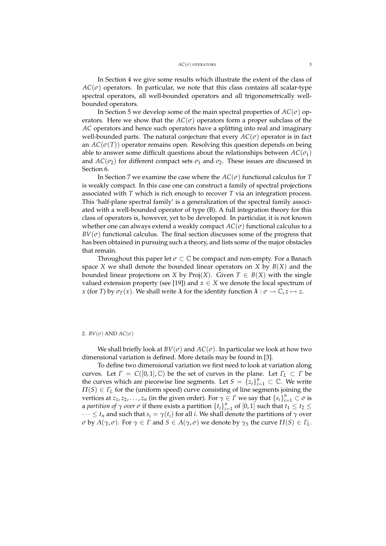In Section 4 we give some results which illustrate the extent of the class of  $AC(\sigma)$  operators. In particular, we note that this class contains all scalar-type spectral operators, all well-bounded operators and all trigonometrically wellbounded operators.

In Section 5 we develop some of the main spectral properties of  $AC(\sigma)$  operators. Here we show that the  $AC(\sigma)$  operators form a proper subclass of the *AC* operators and hence such operators have a splitting into real and imaginary well-bounded parts. The natural conjecture that every  $AC(\sigma)$  operator is in fact an  $AC(\sigma(T))$  operator remains open. Resolving this question depends on being able to answer some difficult questions about the relationships between  $AC(\sigma_1)$ and  $AC(\sigma_2)$  for different compact sets  $\sigma_1$  and  $\sigma_2$ . These issues are discussed in Section 6.

In Section 7 we examine the case where the  $AC(\sigma)$  functional calculus for *T* is weakly compact. In this case one can construct a family of spectral projections associated with *T* which is rich enough to recover *T* via an integration process. This 'half-plane spectral family' is a generalization of the spectral family associated with a well-bounded operator of type (B). A full integration theory for this class of operators is, however, yet to be developed. In particular, it is not known whether one can always extend a weakly compact  $AC(\sigma)$  functional calculus to a  $BV(\sigma)$  functional calculus. The final section discusses some of the progress that has been obtained in pursuing such a theory, and lists some of the major obstacles that remain.

Throughout this paper let  $\sigma \subset \mathbb{C}$  be compact and non-empty. For a Banach space *X* we shall denote the bounded linear operators on *X* by  $B(X)$  and the bounded linear projections on *X* by Proj $(X)$ . Given  $T \in B(X)$  with the single valued extension property (see [19]) and  $x \in X$  we denote the local spectrum of *x* (for *T*) by  $\sigma_T(x)$ . We shall write  $\lambda$  for the identity function  $\lambda : \sigma \to \mathbb{C}, z \mapsto z$ .

#### 2.  $BV(\sigma)$  AND  $AC(\sigma)$

We shall briefly look at  $BV(\sigma)$  and  $AC(\sigma)$ . In particular we look at how two dimensional variation is defined. More details may be found in [3].

To define two dimensional variation we first need to look at variation along curves. Let  $\Gamma = C([0,1], \mathbb{C})$  be the set of curves in the plane. Let  $\Gamma_L \subset \Gamma$  be the curves which are piecewise line segments. Let  $S = {\bar{z}_i}_{i=1}^n \subset \mathbb{C}$ . We write  $\Pi(S) \in \Gamma_L$  for the (uniform speed) curve consisting of line segments joining the vertices at *z*<sub>1</sub>, *z*<sub>2</sub>, . . . , *z*<sub>*n*</sub> (in the given order). For  $\gamma \in \Gamma$  we say that  ${s_i}_{i=1}^n \subset \sigma$  is a *partition of*  $\gamma$  *over*  $\sigma$  if there exists a partition  $\{t_i\}_{i=1}^n$  of  $[0,1]$  such that  $t_1 \leq t_2 \leq$  $\cdots \leq t_n$  and such that  $s_i = \gamma(t_i)$  for all *i*. We shall denote the partitions of  $\gamma$  over *σ* by *Λ*( $\gamma$ , *σ*). For  $\gamma$  ∈ *Γ* and *S* ∈ *Λ*( $\gamma$ , *σ*) we denote by  $\gamma_S$  the curve  $\Pi(S)$  ∈  $\Gamma_L$ .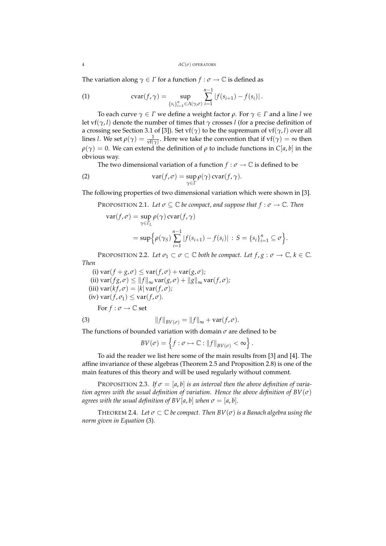The variation along  $\gamma \in \Gamma$  for a function  $f : \sigma \to \mathbb{C}$  is defined as

(1) 
$$
\operatorname{cvar}(f, \gamma) = \sup_{\{s_i\}_{i=1}^n \in \Lambda(\gamma, \sigma)} \sum_{i=1}^{n-1} |f(s_{i+1}) - f(s_i)|.
$$

To each curve *γ* ∈ *Γ* we define a weight factor *ρ*. For *γ* ∈ *Γ* and a line *l* we let vf(*γ*, *l*) denote the number of times that *γ* crosses *l* (for a precise definition of a crossing see Section 3.1 of [3]). Set vf(*γ*) to be the supremum of vf(*γ*, *l*) over all lines *l*. We set  $\rho(\gamma) = \frac{1}{\text{vf}(\gamma)}$ . Here we take the convention that if  $\text{vf}(\gamma) = \infty$  then  $\rho(\gamma) = 0$ . We can extend the definition of  $\rho$  to include functions in *C*[*a*, *b*] in the obvious way.

The two dimensional variation of a function  $f : \sigma \to \mathbb{C}$  is defined to be

(2) 
$$
\operatorname{var}(f, \sigma) = \sup_{\gamma \in \Gamma} \rho(\gamma) \operatorname{cvar}(f, \gamma).
$$

The following properties of two dimensional variation which were shown in [3].

PROPOSITION 2.1. Let  $\sigma \subseteq \mathbb{C}$  *be compact, and suppose that*  $f : \sigma \to \mathbb{C}$ *. Then* 

$$
\operatorname{var}(f, \sigma) = \sup_{\gamma \in \Gamma_L} \rho(\gamma) \operatorname{cvar}(f, \gamma)
$$
  
= 
$$
\sup \Big\{ \rho(\gamma_S) \sum_{i=1}^{n-1} |f(s_{i+1}) - f(s_i)| : S = \{s_i\}_{i=1}^n \subseteq \sigma \Big\}.
$$

PROPOSITION 2.2. Let  $\sigma_1 \subset \sigma \subset \mathbb{C}$  both be compact. Let  $f, g : \sigma \to \mathbb{C}$ ,  $k \in \mathbb{C}$ . *Then*

(i)  $\text{var}(f + g, \sigma) \leq \text{var}(f, \sigma) + \text{var}(g, \sigma)$ ; (ii)  $\text{var}(fg, \sigma) \le ||f||_{\infty} \text{var}(g, \sigma) + ||g||_{\infty} \text{var}(f, \sigma)$ ;  $(iii) \text{var}(kf, \sigma) = |k| \text{var}(f, \sigma);$  $(iv) \text{var}(f, \sigma_1) \leq \text{var}(f, \sigma)$ .

For  $f : \sigma \to \mathbb{C}$  set

(3) 
$$
||f||_{BV(\sigma)} = ||f||_{\infty} + \text{var}(f, \sigma).
$$

The functions of bounded variation with domain *σ* are defined to be

$$
BV(\sigma) = \left\{ f : \sigma \mapsto \mathbb{C} : ||f||_{BV(\sigma)} < \infty \right\}.
$$

To aid the reader we list here some of the main results from [3] and [4]. The affine invariance of these algebras (Theorem 2.5 and Proposition 2.8) is one of the main features of this theory and will be used regularly without comment.

PROPOSITION 2.3. If  $\sigma = [a, b]$  is an interval then the above definition of varia*tion agrees with the usual definition of variation. Hence the above definition of BV*( $\sigma$ ) *agrees with the usual definition of*  $BV[a, b]$  *when*  $\sigma = [a, b]$ *.* 

THEOREM 2.4. Let  $\sigma \subset \mathbb{C}$  be compact. Then  $BV(\sigma)$  is a Banach algebra using the *norm given in Equation* (3)*.*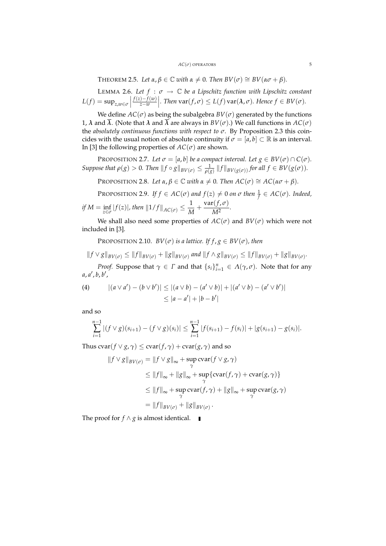THEOREM 2.5. Let  $\alpha, \beta \in \mathbb{C}$  *with*  $\alpha \neq 0$ . Then  $BV(\sigma) \cong BV(\alpha \sigma + \beta)$ .

LEMMA 2.6. Let  $f : \sigma \to \mathbb{C}$  be a Lipschitz function with Lipschitz constant  $L(f) = \sup_{z,w \in \sigma}$ *f*(*z*)−*f*(*w*)  $\left|\frac{f(w)}{z-w}\right|$ *. Then* var $(f, \sigma)$  ≤ *L*(*f*) var( $\lambda$ ,  $\sigma$ )*. Hence*  $f \in BV(\sigma)$ *.* 

We define  $AC(\sigma)$  as being the subalgebra  $BV(\sigma)$  generated by the functions 1,  $\lambda$  and  $\overline{\lambda}$ . (Note that  $\lambda$  and  $\overline{\lambda}$  are always in  $BV(\sigma)$ .) We call functions in  $AC(\sigma)$ the *absolutely continuous functions with respect to σ*. By Proposition 2.3 this coincides with the usual notion of absolute continuity if  $\sigma = [a, b] \subset \mathbb{R}$  is an interval. In [3] the following properties of  $AC(\sigma)$  are shown.

PROPOSITION 2.7. Let  $\sigma = [a, b]$  be a compact interval. Let  $g \in BV(\sigma) \cap C(\sigma)$ . *Suppose that*  $\rho(g) > 0$ *. Then*  $||f \circ g||_{BV(\sigma)} \le \frac{1}{\rho(g)} ||f||_{BV(g(\sigma))}$  *for all*  $f \in BV(g(\sigma))$ *.* 

PROPOSITION 2.8. *Let*  $\alpha, \beta \in \mathbb{C}$  *with*  $\alpha \neq 0$ *. Then*  $AC(\sigma) \cong AC(\alpha \sigma + \beta)$ *.* 

PROPOSITION 2.9. *If*  $f \in AC(\sigma)$  *and*  $f(z) \neq 0$  *on*  $\sigma$  *then*  $\frac{1}{f} \in AC(\sigma)$ *. Indeed, if*  $M = \inf_{z \in \sigma} |f(z)|$ , then  $||1/f||_{AC(\sigma)} \leq \frac{1}{M}$  $\frac{1}{M}$  +  $\frac{\text{var}(f, \sigma)}{M^2}$  $\frac{(y/c)}{M^2}$ .

We shall also need some properties of  $AC(\sigma)$  and  $BV(\sigma)$  which were not included in [3].

PROPOSITION 2.10. *BV*( $\sigma$ ) *is a lattice. If*  $f, g \in BV(\sigma)$ *, then* 

 $||f \vee g||_{BV(\sigma)} \leq ||f||_{BV(\sigma)} + ||g||_{BV(\sigma)}$  and  $||f \wedge g||_{BV(\sigma)} \leq ||f||_{BV(\sigma)} + ||g||_{BV(\sigma)}$ .

*Proof.* Suppose that  $\gamma \in \Gamma$  and that  $\{s_i\}_{i=1}^n \in \Lambda(\gamma, \sigma)$ . Note that for any a, *a'*, *b*, *b'*,

(4) 
$$
|(a \vee a') - (b \vee b')| \le |(a \vee b) - (a' \vee b)| + |(a' \vee b) - (a' \vee b')|
$$

$$
\le |a - a'| + |b - b'|
$$

and so

$$
\sum_{i=1}^{n-1} |(f \vee g)(s_{i+1}) - (f \vee g)(s_i)| \leq \sum_{i=1}^{n-1} |f(s_{i+1}) - f(s_i)| + |g(s_{i+1}) - g(s_i)|.
$$

Thus  $\text{cvar}(f \vee g, \gamma) \leq \text{cvar}(f, \gamma) + \text{cvar}(g, \gamma)$  and so

$$
||f \vee g||_{BV(\sigma)} = ||f \vee g||_{\infty} + \sup_{\gamma} \text{cvar}(f \vee g, \gamma)
$$
  
\n
$$
\leq ||f||_{\infty} + ||g||_{\infty} + \sup_{\gamma} \{\text{cvar}(f, \gamma) + \text{cvar}(g, \gamma)\}
$$
  
\n
$$
\leq ||f||_{\infty} + \sup_{\gamma} \text{cvar}(f, \gamma) + ||g||_{\infty} + \sup_{\gamma} \text{cvar}(g, \gamma)
$$
  
\n
$$
= ||f||_{BV(\sigma)} + ||g||_{BV(\sigma)}.
$$

The proof for *f*  $\land$  *g* is almost identical. ■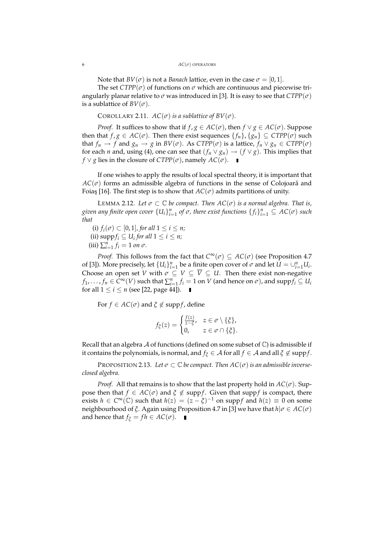#### 6 *AC*(*σ*) OPERATORS

Note that  $BV(\sigma)$  is not a *Banach* lattice, even in the case  $\sigma = [0,1]$ .

The set  $CTPP(\sigma)$  of functions on  $\sigma$  which are continuous and piecewise triangularly planar relative to  $\sigma$  was introduced in [3]. It is easy to see that  $CTPP(\sigma)$ is a sublattice of  $BV(\sigma)$ .

COROLLARY 2.11.  $AC(\sigma)$  *is a sublattice of BV*( $\sigma$ )*.* 

*Proof.* It suffices to show that if *f* , *g* ∈ *AC*( $\sigma$ ), then *f*  $\lor$  *g* ∈ *AC*( $\sigma$ ). Suppose then that  $f, g \in AC(\sigma)$ . Then there exist sequences  $\{f_n\}, \{g_n\} \subseteq CTPP(\sigma)$  such that  $f_n \to f$  and  $g_n \to g$  in  $BV(\sigma)$ . As  $CTPP(\sigma)$  is a lattice,  $f_n \lor g_n \in CTPP(\sigma)$ for each *n* and, using (4), one can see that  $(f_n \vee g_n) \to (f \vee g)$ . This implies that *f* ∨ *g* lies in the closure of *CTPP*( $\sigma$ ), namely *AC*( $\sigma$ ). ■

If one wishes to apply the results of local spectral theory, it is important that  $AC(\sigma)$  forms an admissible algebra of functions in the sense of Colojoara and Foiaş [16]. The first step is to show that  $AC(\sigma)$  admits partitions of unity.

LEMMA 2.12. Let  $\sigma \subset \mathbb{C}$  be compact. Then  $AC(\sigma)$  is a normal algebra. That is,  $g$ iven any finite open cover  $\{U_i\}_{i=1}^n$  of  $\sigma$ , there exist functions  $\{f_i\}_{i=1}^n\subseteq$   $AC(\sigma)$  such *that*

(i)  $f_i(\sigma) \subset [0,1]$ , for all  $1 \leq i \leq n$ ; (ii) supp*f<sup>i</sup>* ⊆ *U<sup>i</sup> for all* 1 ≤ *i* ≤ *n;*  $(iii)$   $\sum_{i=1}^{n} f_i = 1$  *on*  $\sigma$ *.* 

*Proof.* This follows from the fact that  $C^{\infty}(\sigma) \subseteq AC(\sigma)$  (see Proposition 4.7) of [3]). More precisely, let  ${U_i}_{i=1}^n$  be a finite open cover of  $\sigma$  and let  $U = \bigcup_{i=1}^n U_i$ . Choose an open set *V* with  $\sigma \subseteq V \subseteq \overline{V} \subseteq U$ . Then there exist non-negative  $f_1, \ldots, f_n \in C^\infty(V)$  such that  $\sum_{i=1}^n f_i = 1$  on  $V$  (and hence on  $\sigma$ ), and  $\mathrm{supp} f_i \subseteq U_i$ for all  $1 \le i \le n$  (see [22, page 44]).

For  $f \in AC(\sigma)$  and  $\xi \notin \text{supp} f$ , define

$$
f_{\xi}(z) = \begin{cases} \frac{f(z)}{z - \xi}, & z \in \sigma \setminus \{\xi\}, \\ 0, & z \in \sigma \cap \{\xi\}. \end{cases}
$$

Recall that an algebra A of functions (defined on some subset of  $\mathbb C$ ) is admissible if it contains the polynomials, is normal, and  $f_{\xi} \in A$  for all  $f \in A$  and all  $\xi \notin \text{supp} f$ .

PROPOSITION 2.13. Let  $\sigma \subset \mathbb{C}$  be compact. Then  $AC(\sigma)$  is an admissible inverse*closed algebra.*

*Proof.* All that remains is to show that the last property hold in  $AC(\sigma)$ . Suppose then that  $f \in AC(\sigma)$  and  $\xi \notin \text{supp}f$ . Given that suppf is compact, there exists  $h \in C^{\infty}(\mathbb{C})$  such that  $h(z) = (z - \xi)^{-1}$  on suppf and  $h(z) \equiv 0$  on some neighbourhood of *ξ*. Again using Proposition 4.7 in [3] we have that *h*|*σ* ∈ *AC*(*σ*) and hence that *f*<sup> $\xi$ </sup> = *fh* ∈ *AC*( $\sigma$ ). ■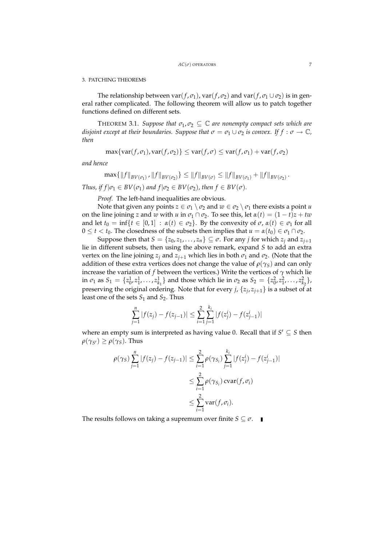#### 3. PATCHING THEOREMS

The relationship between  $var(f, \sigma_1)$ ,  $var(f, \sigma_2)$  and  $var(f, \sigma_1 \cup \sigma_2)$  is in general rather complicated. The following theorem will allow us to patch together functions defined on different sets.

THEOREM 3.1. *Suppose that*  $\sigma_1$ ,  $\sigma_2 \subseteq \mathbb{C}$  *are nonempty compact sets which are disjoint except at their boundaries. Suppose that*  $\sigma = \sigma_1 \cup \sigma_2$  *is convex.* If  $f : \sigma \to \mathbb{C}$ *, then*

$$
\max\{\text{var}(f,\sigma_1),\text{var}(f,\sigma_2)\}\leq \text{var}(f,\sigma)\leq \text{var}(f,\sigma_1)+\text{var}(f,\sigma_2)
$$

*and hence*

$$
\max\{\|f\|_{BV(\sigma_1)},\|f\|_{BV(\sigma_2)}\}\leq\|f\|_{BV(\sigma)}\leq\|f\|_{BV(\sigma_1)}+\|f\|_{BV(\sigma_2)}.
$$

*Thus, if*  $f | \sigma_1 \in BV(\sigma_1)$  *and*  $f | \sigma_2 \in BV(\sigma_2)$ *, then*  $f \in BV(\sigma)$ *.* 

*Proof.* The left-hand inequalities are obvious.

Note that given any points  $z \in \sigma_1 \setminus \sigma_2$  and  $w \in \sigma_2 \setminus \sigma_1$  there exists a point *u* on the line joining *z* and *w* with *u* in  $\sigma_1 \cap \sigma_2$ . To see this, let  $\alpha(t) = (1 - t)z + tw$ and let  $t_0 = \inf\{t \in [0,1] : \alpha(t) \in \sigma_2\}$ . By the convexity of  $\sigma$ ,  $\alpha(t) \in \sigma_1$  for all  $0 \le t < t_0$ . The closedness of the subsets then implies that  $u = \alpha(t_0) \in \sigma_1 \cap \sigma_2$ .

Suppose then that  $S = \{z_0, z_1, \ldots, z_n\} \subseteq \sigma$ . For any *j* for which  $z_i$  and  $z_{i+1}$ lie in different subsets, then using the above remark, expand *S* to add an extra vertex on the line joining  $z_j$  and  $z_{j+1}$  which lies in both  $\sigma_1$  and  $\sigma_2$ . (Note that the addition of these extra vertices does not change the value of  $\rho(\gamma_S)$  and can only increase the variation of *f* between the vertices.) Write the vertices of  $\gamma$  which lie in  $\sigma_1$  as  $S_1 = \{z_0^1, z_1^1, \ldots, z_{k_1}^1\}$  and those which lie in  $\sigma_2$  as  $S_2 = \{z_0^2, z_1^2, \ldots, z_{k_2}^2\}$ , preserving the original ordering. Note that for every *j*,  $\{z_j, z_{j+1}\}$  is a subset of at least one of the sets  $S_1$  and  $S_2$ . Thus

$$
\sum_{j=1}^{n} |f(z_j) - f(z_{j-1})| \le \sum_{i=1}^{2} \sum_{j=1}^{k_i} |f(z_j^i) - f(z_{j-1}^i)|
$$

where an empty sum is interpreted as having value 0. Recall that if  $S' \subseteq S$  then  $\rho(\gamma_{S'}) \geq \rho(\gamma_S)$ . Thus

$$
\rho(\gamma_S) \sum_{j=1}^n |f(z_j) - f(z_{j-1})| \le \sum_{i=1}^2 \rho(\gamma_{S_i}) \sum_{j=1}^{k_i} |f(z_j^i) - f(z_{j-1}^i)|
$$
  

$$
\le \sum_{i=1}^2 \rho(\gamma_{S_i}) \operatorname{cvar}(f, \sigma_i)
$$
  

$$
\le \sum_{i=1}^2 \operatorname{var}(f, \sigma_i).
$$

The results follows on taking a supremum over finite  $S \subseteq \sigma$ .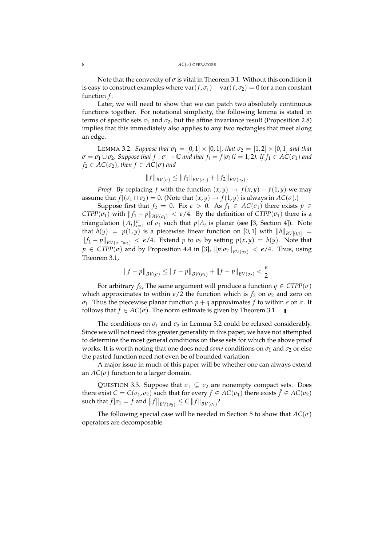Note that the convexity of  $\sigma$  is vital in Theorem 3.1. Without this condition it is easy to construct examples where  $\text{var}(f, \sigma_1) + \text{var}(f, \sigma_2) = 0$  for a non constant function *f* .

Later, we will need to show that we can patch two absolutely continuous functions together. For notational simplicity, the following lemma is stated in terms of specific sets  $\sigma_1$  and  $\sigma_2$ , but the affine invariance result (Proposition 2.8) implies that this immediately also applies to any two rectangles that meet along an edge.

**LEMMA 3.2.** *Suppose that*  $\sigma_1 = [0, 1] \times [0, 1]$ *, that*  $\sigma_2 = [1, 2] \times [0, 1]$  *and that*  $\sigma = \sigma_1 \cup \sigma_2$ *. Suppose that*  $f : \sigma \to \mathbb{C}$  *and that*  $f_i = f | \sigma_i$  ( $i = 1, 2$ ). If  $f_1 \in AC(\sigma_1)$  and  $f_2 \in AC(\sigma_2)$ , then  $f \in AC(\sigma)$  and

$$
||f||_{BV(\sigma)} \leq ||f_1||_{BV(\sigma_1)} + ||f_2||_{BV(\sigma_2)}.
$$

*Proof.* By replacing *f* with the function  $(x, y) \rightarrow f(x, y) - f(1, y)$  we may assume that  $f | (\sigma_1 \cap \sigma_2) = 0$ . (Note that  $(x, y) \rightarrow f(1, y)$  is always in  $AC(\sigma)$ .)

Suppose first that  $f_2 = 0$ . Fix  $\epsilon > 0$ . As  $f_1 \in AC(\sigma_1)$  there exists  $p \in$ *CTPP*( $\sigma_1$ ) with  $||f_1 - p||_{BV(\sigma_1)} < \epsilon/4$ . By the definition of *CTPP*( $\sigma_1$ ) there is a triangulation  $\{A_i\}_{i=1}^n$  of  $\sigma_1$  such that  $p|A_i$  is planar (see [3, Section 4]). Note that  $b(y) = p(1, y)$  is a piecewise linear function on [0, 1] with  $||b||_{BV[0,1]}$  = *f*<sub>1</sub> − *p*<sup>*h*</sup><sub>*BV*( $\sigma$ <sup>1</sup>∩ $\sigma$ <sub>2</sub>) <  $\epsilon$ /4. Extend *p* to  $\sigma$ <sub>2</sub> by setting *p*(*x*, *y*) = *b*(*y*). Note that</sub>  $p \in CTPP(\sigma)$  and by Proposition 4.4 in [3],  $||p|\sigma_2||_{BV(\sigma_2)} < \epsilon/4$ . Thus, using Theorem 3.1,

$$
||f - p||_{BV(\sigma)} \le ||f - p||_{BV(\sigma_1)} + ||f - p||_{BV(\sigma_2)} < \frac{\epsilon}{2}.
$$

For arbitrary  $f_2$ , The same argument will produce a function  $q \in CTPP(\sigma)$ which approximates to within  $\epsilon/2$  the function which is  $f_2$  on  $\sigma_2$  and zero on *σ*<sub>1</sub>. Thus the piecewise planar function  $p + q$  approximates *f* to within  $\epsilon$  on  $\sigma$ . It follows that  $f \in AC(\sigma)$ . The norm estimate is given by Theorem 3.1.

The conditions on  $\sigma_1$  and  $\sigma_2$  in Lemma 3.2 could be relaxed considerably. Since we will not need this greater generality in this paper, we have not attempted to determine the most general conditions on these sets for which the above proof works. It is worth noting that one does need *some* conditions on  $\sigma_1$  and  $\sigma_2$  or else the pasted function need not even be of bounded variation.

A major issue in much of this paper will be whether one can always extend an  $AC(\sigma)$  function to a larger domain.

QUESTION 3.3. Suppose that  $\sigma_1 \subseteq \sigma_2$  are nonempty compact sets. Does there exist  $C = C(\sigma_1, \sigma_2)$  such that for every  $f \in AC(\sigma_1)$  there exists  $\tilde{f} \in AC(\sigma_2)$  $\sup_{\sigma} \int_{0}^{\pi} |\sigma_{1} = f \text{ and } \left\| \tilde{f} \right\|_{BV(\sigma_{2})} \leq C \left\| f \right\|_{BV(\sigma_{1})}$ 

The following special case will be needed in Section 5 to show that  $AC(\sigma)$ operators are decomposable.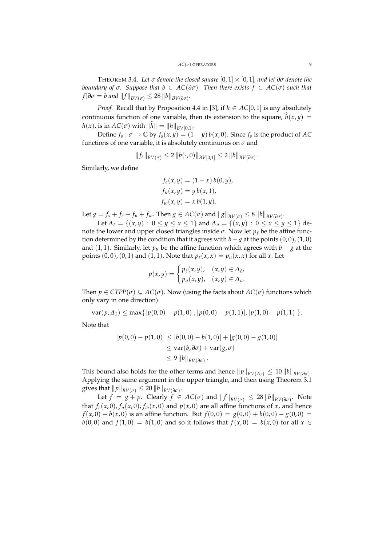THEOREM 3.4. Let  $\sigma$  *denote the closed square* [0, 1]  $\times$  [0, 1], and let  $\partial \sigma$  *denote the boundary of*  $\sigma$ *. Suppose that*  $b \in AC(\partial \sigma)$ *. Then there exists*  $f \in AC(\sigma)$  *such that*  $f|\partial \sigma = b$  and  $||f||_{BV(\sigma)} \leq 28 ||b||_{BV(\partial \sigma)}$ .

*Proof.* Recall that by Proposition 4.4 in [3], if  $h \in AC[0, 1]$  is any absolutely continuous function of one variable, then its extension to the square,  $\hat{h}(x, y) =$  $h(x)$ , is in  $AC(\sigma)$  with  $||h|| = ||h||_{BV[0,1]}$ .

Define  $f_s: \sigma \to \mathbb{C}$  by  $f_s(x, y) = (1 - y) b(x, 0)$ . Since  $f_s$  is the product of AC functions of one variable, it is absolutely continuous on *σ* and

$$
||f_{s}||_{BV(\sigma)} \leq 2 ||b(\cdot,0)||_{BV[0,1]} \leq 2 ||b||_{BV(\partial\sigma)}.
$$

Similarly, we define

$$
f_e(x, y) = (1 - x) b(0, y),
$$
  
\n
$$
f_n(x, y) = y b(x, 1),
$$
  
\n
$$
f_w(x, y) = x b(1, y).
$$

Let  $g = f_s + f_e + f_n + f_w$ . Then  $g \in AC(\sigma)$  and  $||g||_{BV(\sigma)} \leq 8 ||b||_{BV(\partial \sigma)}$ .

Let  $\Delta$ <sub>l</sub> = {(*x*, *y*) :  $0 \le y \le x \le 1$ } and  $\Delta$ <sub>*u*</sub> = {(*x*, *y*) :  $0 \le x \le y \le 1$ } denote the lower and upper closed triangles inside  $\sigma$ . Now let  $p_\ell$  be the affine function determined by the condition that it agrees with  $b - g$  at the points  $(0, 0)$ ,  $(1, 0)$ and (1, 1). Similarly, let  $p<sub>u</sub>$  be the affine function which agrees with  $b - g$  at the points  $(0, 0)$ ,  $(0, 1)$  and  $(1, 1)$ . Note that  $p_{\ell}(x, x) = p_{\mu}(x, x)$  for all *x*. Let

$$
p(x,y) = \begin{cases} p_{\ell}(x,y), & (x,y) \in \Delta_{\ell}, \\ p_{u}(x,y), & (x,y) \in \Delta_{u}. \end{cases}
$$

Then  $p \in CTPP(\sigma) \subseteq AC(\sigma)$ . Now (using the facts about  $AC(\sigma)$  functions which only vary in one direction)

$$
var(p, \Delta_{\ell}) \leq max\{|p(0,0) - p(1,0)|, |p(0,0) - p(1,1)|, |p(1,0) - p(1,1)|\}.
$$

Note that

$$
|p(0,0) - p(1,0)| \le |b(0,0) - b(1,0)| + |g(0,0) - g(1,0)|
$$
  
\n
$$
\le \text{var}(b,\partial\sigma) + \text{var}(g,\sigma)
$$
  
\n
$$
\le 9 ||b||_{BV(\partial\sigma)}.
$$

This bound also holds for the other terms and hence  $\|p\|_{BV(\Delta_\ell)} \leq 10 \, \|b\|_{BV(\partial\sigma)}$ . Applying the same argument in the upper triangle, and then using Theorem 3.1 gives that  $\|p\|_{BV(\sigma)} \leq 20 \, \|b\|_{BV(\partial\sigma)}.$ 

Let  $f = g + p$ . Clearly  $f \in AC(\sigma)$  and  $||f||_{BV(\sigma)} \leq 28 ||b||_{BV(\partial \sigma)}$ . Note that  $f_e(x,0)$ ,  $f_n(x,0)$ ,  $f_w(x,0)$  and  $p(x,0)$  are all affine functions of *x*, and hence *f*(*x*, 0) − *b*(*x*, 0) is an affine function. But  $f(0,0) = g(0,0) + b(0,0) - g(0,0) =$ *b*(0,0) and *f*(1,0) = *b*(1,0) and so it follows that  $f(x, 0) = b(x, 0)$  for all  $x \in$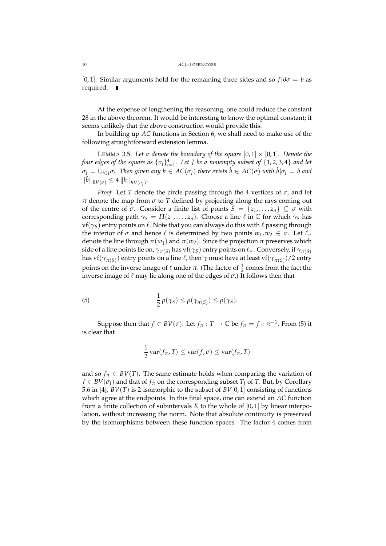[0,1]. Similar arguments hold for the remaining three sides and so  $f | \partial \sigma = b$  as required.

At the expense of lengthening the reasoning, one could reduce the constant 28 in the above theorem. It would be interesting to know the optimal constant; it seems unlikely that the above construction would provide this.

In building up *AC* functions in Section 6, we shall need to make use of the following straightforward extension lemma.

LEMMA 3.5. Let  $\sigma$  denote the boundary of the square  $[0,1] \times [0,1]$ . Denote the *four edges of the square as*  $\{\sigma_i\}_{i=1}^4$ . Let J be a nonempty subset of  $\{1, 2, 3, 4\}$  *and let*  $\sigma_J=\cup_{i\in J}\sigma_i.$  Then given any  $b\in AC(\sigma_J)$  there exists  $\hat{b}\in AC(\sigma)$  with  $\hat{b}|\sigma_J=b$  and  $\|\hat{b}\|_{BV(\sigma)} \leq 4 \|b\|_{BV(\sigma_J)}.$ 

*Proof.* Let *T* denote the circle passing through the 4 vertices of  $\sigma$ , and let *π* denote the map from *σ* to *T* defined by projecting along the rays coming out of the centre of  $\sigma$ . Consider a finite list of points  $S = \{z_1, \ldots, z_n\} \subseteq \sigma$  with corresponding path  $\gamma_S = \Pi(z_1, \ldots, z_n)$ . Choose a line  $\ell$  in  $\mathbb C$  for which  $\gamma_S$  has  $\mathbf{v}(\gamma_S)$  entry points on  $\ell$ . Note that you can always do this with  $\ell$  passing through the interior of  $\sigma$  and hence  $\ell$  is determined by two points  $w_1, w_2 \in \sigma$ . Let  $\ell_{\pi}$ denote the line through  $\pi(w_1)$  and  $\pi(w_2)$ . Since the projection  $\pi$  preserves which side of a line points lie on,  $\gamma_{\pi(S)}$  has vf( $\gamma_S$ ) entry points on  $\ell_{\pi}$ . Conversely, if  $\gamma_{\pi(S)}$ has vf $(\gamma_{\pi(S)})$  entry points on a line  $\ell$ , then  $\gamma$  must have at least vf $(\gamma_{\pi(S)})$ /2 entry points on the inverse image of  $\ell$  under  $\pi$ . (The factor of  $\frac{1}{2}$  comes from the fact the inverse image of  $\ell$  may lie along one of the edges of  $\sigma$ .) It follows then that

(5) 
$$
\frac{1}{2}\rho(\gamma_S) \leq \rho(\gamma_{\pi(S)}) \leq \rho(\gamma_S).
$$

Suppose then that  $f \in BV(\sigma)$ . Let  $f_\pi : T \to \mathbb{C}$  be  $f_\pi = f \circ \pi^{-1}$ . From (5) it is clear that

$$
\frac{1}{2}\operatorname{var}(f_{\pi},T) \leq \operatorname{var}(f,\sigma) \leq \operatorname{var}(f_{\pi},T)
$$

and so  $f_{\pi} \in BV(T)$ . The same estimate holds when comparing the variation of  $f \in BV(\sigma_I)$  and that of  $f_\pi$  on the corresponding subset  $T_I$  of  $T$ . But, by Corollary 5.6 in [4], *BV*(*T*) is 2-isomorphic to the subset of *BV*[0, 1] consisting of functions which agree at the endpoints. In this final space, one can extend an *AC* function from a finite collection of subintervals *K* to the whole of [0, 1] by linear interpolation, without increasing the norm. Note that absolute continuity is preserved by the isomorphisms between these function spaces. The factor 4 comes from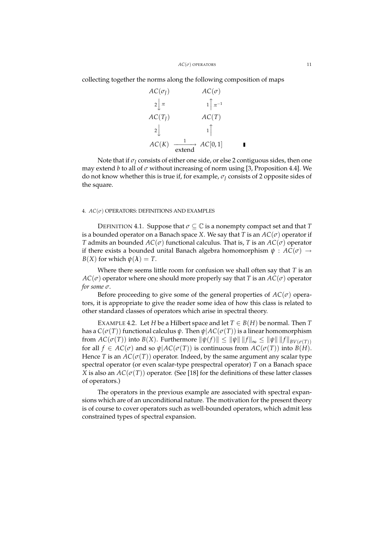collecting together the norms along the following composition of maps

$$
AC(\sigma_J) \qquad AC(\sigma)
$$
\n
$$
2 \downarrow \pi \qquad 1 \uparrow \pi^{-1}
$$
\n
$$
AC(T_J) \qquad AC(T)
$$
\n
$$
2 \downarrow 1 \uparrow
$$
\n
$$
AC(K) \xrightarrow{\phantom{a}1 \phantom{a}} 1 \uparrow
$$
\n
$$
AC(D) \qquad 1 \uparrow
$$
\n
$$
AC(D) \qquad 1 \uparrow
$$
\n
$$
AC(D) \qquad 1 \uparrow
$$
\n
$$
AC(D) \qquad 1 \uparrow
$$
\n
$$
AC(D) \qquad 1 \uparrow
$$
\n
$$
AC(D) \qquad 1 \uparrow
$$

Note that if  $\sigma$ <sup>*I*</sup> consists of either one side, or else 2 contiguous sides, then one may extend *b* to all of *σ* without increasing of norm using [3, Proposition 4.4]. We do not know whether this is true if, for example,  $\sigma$ <sup>*I*</sup> consists of 2 opposite sides of the square.

### 4. *AC*(*σ*) OPERATORS: DEFINITIONS AND EXAMPLES

DEFINITION 4.1. Suppose that  $\sigma \subseteq \mathbb{C}$  is a nonempty compact set and that *T* is a bounded operator on a Banach space *X*. We say that *T* is an  $AC(\sigma)$  operator if *T* admits an bounded  $AC(\sigma)$  functional calculus. That is, *T* is an  $AC(\sigma)$  operator if there exists a bounded unital Banach algebra homomorphism  $\psi : AC(\sigma) \rightarrow$ *B*(*X*) for which  $\psi(\lambda) = T$ .

Where there seems little room for confusion we shall often say that *T* is an  $AC(\sigma)$  operator where one should more properly say that *T* is an  $AC(\sigma)$  operator *for some σ*.

Before proceeding to give some of the general properties of  $AC(\sigma)$  operators, it is appropriate to give the reader some idea of how this class is related to other standard classes of operators which arise in spectral theory.

EXAMPLE 4.2. Let *H* be a Hilbert space and let  $T \in B(H)$  be normal. Then *T* has a *C*( $\sigma(T)$ ) functional calculus  $\psi$ . Then  $\psi$ |*AC*( $\sigma(T)$ ) is a linear homomorphism from  $AC(\sigma(T))$  into  $B(X)$ . Furthermore  $\|\psi(f)\| \le \|\psi\| \|f\|_{\infty} \le \|\psi\| \|f\|_{BV(\sigma(T))}$ for all  $f \in AC(\sigma)$  and so  $\psi$ | $AC(\sigma(T))$  is continuous from  $AC(\sigma(T))$  into  $B(H)$ . Hence *T* is an  $AC(\sigma(T))$  operator. Indeed, by the same argument any scalar type spectral operator (or even scalar-type prespectral operator) *T* on a Banach space *X* is also an  $AC(\sigma(T))$  operator. (See [18] for the definitions of these latter classes of operators.)

The operators in the previous example are associated with spectral expansions which are of an unconditional nature. The motivation for the present theory is of course to cover operators such as well-bounded operators, which admit less constrained types of spectral expansion.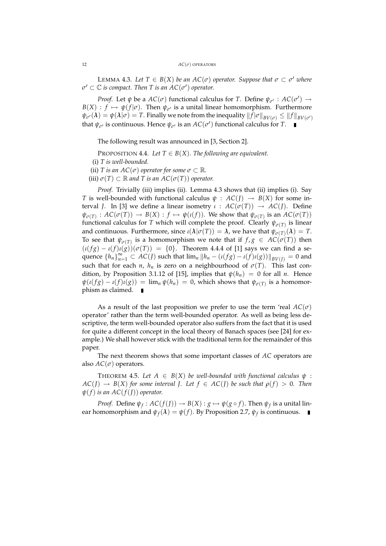**LEMMA 4.3.** Let  $T \in B(X)$  be an  $AC(\sigma)$  operator. Suppose that  $\sigma \subset \sigma'$  where  $\sigma' \subset \mathbb{C}$  *is compact. Then T is an AC*( $\sigma'$ ) *operator.* 

*Proof.* Let  $\psi$  be a  $AC(\sigma)$  functional calculus for *T*. Define  $\psi_{\sigma'} : AC(\sigma') \rightarrow$  $B(X)$  :  $f \mapsto \psi(f|\sigma)$ . Then  $\psi_{\sigma'}$  is a unital linear homomorphism. Furthermore  $\psi_{\sigma'}(\lambda) = \psi(\lambda|\sigma) = T.$  Finally we note from the inequality  $\|f|\sigma\|_{BV(\sigma)} \leq \|f\|_{BV(\sigma')}$ that  $\psi_{\sigma}$  is continuous. Hence  $\psi_{\sigma}$  is an  $AC(\sigma')$  functional calculus for *T*.

The following result was announced in [3, Section 2].

PROPOSITION 4.4. Let  $T \in B(X)$ . The following are equivalent.

(i) *T is well-bounded.*

(ii) *T* is an  $AC(\sigma)$  operator for some  $\sigma \subset \mathbb{R}$ .

 $(iii)$   $\sigma(T) \subset \mathbb{R}$  and T is an  $AC(\sigma(T))$  operator.

*Proof.* Trivially (iii) implies (ii). Lemma 4.3 shows that (ii) implies (i). Say *T* is well-bounded with functional calculus  $\psi$  :  $AC(I) \rightarrow B(X)$  for some interval *J*. In [3] we define a linear isometry *ι* :  $AC(σ(T)) → AC(J)$ . Define  $\psi_{\sigma(T)}: AC(\sigma(T)) \to B(X) : f \mapsto \psi(\iota(f))$ . We show that  $\psi_{\sigma(T)}$  is an  $AC(\sigma(T))$ functional calculus for *T* which will complete the proof. Clearly  $\psi_{\sigma(T)}$  is linear and continuous. Furthermore, since  $\iota(\lambda|\sigma(T)) = \lambda$ , we have that  $\psi_{\sigma(T)}(\lambda) = T$ . To see that  $\psi_{\sigma(T)}$  is a homomorphism we note that if  $f, g \in AC(\sigma(T))$  then  $(\iota(fg) - \iota(f)\iota(g))(\sigma(T)) = \{0\}.$  Theorem 4.4.4 of [1] says we can find a sequence  ${h_n}_{n=1}^{\infty} \subset AC(J)$  such that  $\lim_n ||h_n - (\iota(fg) - \iota(f)\iota(g))||_{BV(J)} = 0$  and such that for each *n*,  $h_n$  is zero on a neighbourhood of  $\sigma(T)$ . This last condition, by Proposition 3.1.12 of [15], implies that  $\psi(h_n) = 0$  for all *n*. Hence  $\psi(\iota(fg) - \iota(f)\iota(g)) = \lim_{n} \psi(h_n) = 0$ , which shows that  $\psi_{\sigma(T)}$  is a homomorphism as claimed.  $\blacksquare$ 

As a result of the last proposition we prefer to use the term 'real  $AC(\sigma)$ operator' rather than the term well-bounded operator. As well as being less descriptive, the term well-bounded operator also suffers from the fact that it is used for quite a different concept in the local theory of Banach spaces (see [24] for example.) We shall however stick with the traditional term for the remainder of this paper.

The next theorem shows that some important classes of *AC* operators are also  $AC(\sigma)$  operators.

THEOREM 4.5. Let  $A \in B(X)$  be well-bounded with functional calculus  $\psi$ :  $AC(J) \rightarrow B(X)$  *for some interval J. Let*  $f \in AC(J)$  *be such that*  $\rho(f) > 0$ *. Then*  $\psi(f)$  *is an AC*( $f$ (*J*)) *operator.* 

*Proof.* Define  $\psi_f: AC(f(J)) \to B(X) : g \mapsto \psi(g \circ f)$ . Then  $\psi_f$  is a unital linear homomorphism and  $\psi_f(\lambda) = \psi(f)$ . By Proposition 2.7,  $\psi_f$  is continuous.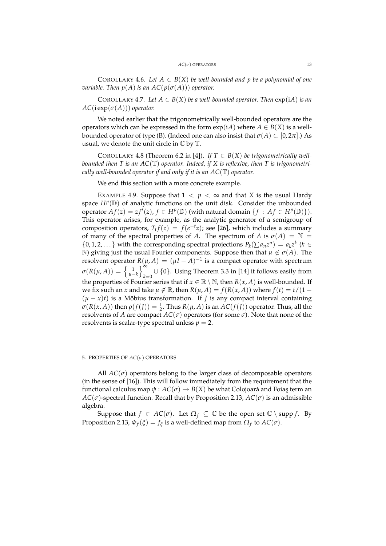COROLLARY 4.6. Let  $A \in B(X)$  be well-bounded and p be a polynomial of one *variable. Then*  $p(A)$  *is an AC*( $p(\sigma(A))$ ) *operator.* 

COROLLARY 4.7. Let  $A \in B(X)$  be a well-bounded operator. Then  $exp(iA)$  is an  $AC(i \exp(\sigma(A)))$  *operator.* 

We noted earlier that the trigonometrically well-bounded operators are the operators which can be expressed in the form  $exp(iA)$  where  $A \in B(X)$  is a wellbounded operator of type (B). (Indeed one can also insist that  $\sigma(A) \subset [0, 2\pi]$ .) As usual, we denote the unit circle in  $\mathbb C$  by  $\mathbb T.$ 

COROLLARY 4.8 (Theorem 6.2 in [4]). If  $T \in B(X)$  be trigonometrically well*bounded then T is an AC*(T) *operator. Indeed, if X is reflexive, then T is trigonometrically well-bounded operator if and only if it is an AC*(T) *operator.*

We end this section with a more concrete example.

EXAMPLE 4.9. Suppose that  $1 < p < \infty$  and that *X* is the usual Hardy space  $H^p(\mathbb{D})$  of analytic functions on the unit disk. Consider the unbounded operator  $\overline{Af(z)} = zf'(z)$ ,  $f \in H^p(\mathbb{D})$  (with natural domain  $\{f : Af \in H^p(\mathbb{D})\}$ ). This operator arises, for example, as the analytic generator of a semigroup of composition operators,  $T_t f(z) = f(e^{-t}z)$ ; see [26], which includes a summary of many of the spectral properties of *A*. The spectrum of *A* is  $\sigma(A) = \mathbb{N} =$  $\{0, 1, 2, \ldots\}$  with the corresponding spectral projections  $P_k(\sum a_n z^n) = a_k z^k$  ( $k \in \mathbb{Z}$ N) giving just the usual Fourier components. Suppose then that  $\mu \notin \sigma(A)$ . The resolvent operator  $R(\mu, A) = (\mu I - A)^{-1}$  is a compact operator with spectrum  $\sigma(R(\mu,A)) = \left\{\frac{1}{\mu-k}\right.$ o<sup>∞</sup>  $k=0$  ∪ {0}. Using Theorem 3.3 in [14] it follows easily from the properties of Fourier series that if  $x \in \mathbb{R} \setminus \mathbb{N}$ , then  $R(x, A)$  is well-bounded. If we fix such an *x* and take  $\mu \notin \mathbb{R}$ , then  $R(\mu, A) = f(R(x, A))$  where  $f(t) = t/(1 +$  $(\mu - x)t$  is a Möbius transformation. If *J* is any compact interval containing  $\sigma(R(x, A))$  then  $\rho(f(I)) = \frac{1}{2}$ . Thus  $R(\mu, A)$  is an  $AC(f(I))$  operator. Thus, all the resolvents of *A* are compact  $AC(\sigma)$  operators (for some  $\sigma$ ). Note that none of the resolvents is scalar-type spectral unless  $p = 2$ .

# 5. PROPERTIES OF *AC*(*σ*) OPERATORS

All  $AC(\sigma)$  operators belong to the larger class of decomposable operators (in the sense of [16]). This will follow immediately from the requirement that the functional calculus map  $\psi: AC(\sigma) \rightarrow B(X)$  be what Colojoară and Foiaş term an  $AC(\sigma)$ -spectral function. Recall that by Proposition 2.13,  $AC(\sigma)$  is an admissible algebra.

Suppose that  $f \in AC(\sigma)$ . Let  $\Omega_f \subseteq \mathbb{C}$  be the open set  $\mathbb{C} \setminus \text{supp } f$ . By Proposition 2.13,  $\Phi_f(\xi) = f_{\xi}$  is a well-defined map from  $\Omega_f$  to  $AC(\sigma)$ .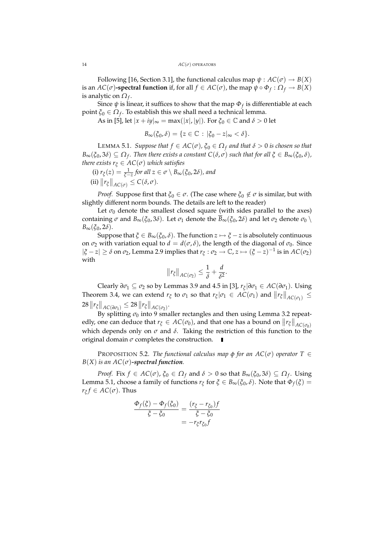Following [16, Section 3.1], the functional calculus map  $\psi : AC(\sigma) \rightarrow B(X)$ is an  $AC(\sigma)$ -spectral function if, for all  $f \in AC(\sigma)$ , the map  $\psi \circ \Phi_f : \Omega_f \to B(X)$ is analytic on *Ω<sup>f</sup>* .

Since *ψ* is linear, it suffices to show that the map *Φ<sup>f</sup>* is differentiable at each point *ξ*<sup>0</sup> ∈ *Ω<sup>f</sup>* . To establish this we shall need a technical lemma.

As in [5], let  $|x + iy|_{\infty} = \max(|x|, |y|)$ . For  $\xi_0 \in \mathbb{C}$  and  $\delta > 0$  let

$$
B_{\infty}(\xi_0, \delta) = \{ z \in \mathbb{C} : |\xi_0 - z|_{\infty} < \delta \}.
$$

LEMMA 5.1. *Suppose that*  $f \in AC(\sigma)$ ,  $\xi_0 \in \Omega_f$  *and that*  $\delta > 0$  *is chosen so that*  $B_\infty(\xi_0,3\delta)\subseteq\Omega_f.$  Then there exists a constant  $C(\delta,\sigma)$  such that for all  $\xi\in B_\infty(\xi_0,\delta),$ *there exists*  $r_{\xi} \in AC(\sigma)$  *which satisfies* 

(i) 
$$
r_{\xi}(z) = \frac{1}{\xi - z}
$$
 for all  $z \in \sigma \setminus B_{\infty}(\xi_0, 2\delta)$ , and  
(ii)  $||r_{\xi}||_{AC(\sigma)} \leq C(\delta, \sigma)$ .

*Proof.* Suppose first that  $\xi_0 \in \sigma$ . (The case where  $\xi_0 \notin \sigma$  is similar, but with slightly different norm bounds. The details are left to the reader)

Let  $\sigma_0$  denote the smallest closed square (with sides parallel to the axes) containing  $\sigma$  and  $B_{\infty}(\xi_0, 3\delta)$ . Let  $\sigma_1$  denote the  $\overline{B}_{\infty}(\xi_0, 2\delta)$  and let  $\sigma_2$  denote  $\sigma_0 \setminus$ *B*∞(*ξ*0, 2*δ*).

Suppose that  $\xi \in B_{\infty}(\xi_0, \delta)$ . The function  $z \mapsto \xi - z$  is absolutely continuous on  $\sigma_2$  with variation equal to  $d = d(\sigma, \delta)$ , the length of the diagonal of  $\sigma_0$ . Since  $|ξ − z| ≥ δ$  on  $σ_2$ , Lemma 2.9 implies that  $r_ξ : σ_2 → \mathbb{C}$ ,  $z → (ξ − z)^{-1}$  is in  $AC(σ_2)$ with

$$
||r_{\xi}||_{AC(\sigma_2)} \leq \frac{1}{\delta} + \frac{d}{\delta^2}.
$$

Clearly *∂σ*<sup>1</sup> ⊆ *σ*<sup>2</sup> so by Lemmas 3.9 and 4.5 in [3], *r<sup>ξ</sup>* |*∂σ*<sup>1</sup> ∈ *AC*(*∂σ*1). Using Theorem 3.4, we can extend  $r_{\xi}$  to  $\sigma_1$  so that  $r_{\xi} | \sigma_1 \in AC(\sigma_1)$  and  $||r_{\xi}||_{AC(\sigma_1)} \le$  $28 \|r_{\xi}\|_{AC(\partial \sigma_1)} \leq 28 \|r_{\xi}\|_{AC(\sigma_2)}.$ 

By splitting  $\sigma_0$  into 9 smaller rectangles and then using Lemma 3.2 repeatedly, one can deduce that  $r_{\xi} \in AC(\sigma_0)$ , and that one has a bound on  $||r_{\xi}||_{AC(\sigma_0)}$ which depends only on  $\sigma$  and  $\delta$ . Taking the restriction of this function to the original domain  $\sigma$  completes the construction.  $\blacksquare$ 

**PROPOSITION 5.2.** *The functional calculus map*  $\phi$  *for an AC*( $\sigma$ ) *operator*  $T \in$  $B(X)$  *is an AC*( $\sigma$ )-spectral function.

*Proof.* Fix  $f \in AC(\sigma)$ ,  $\xi_0 \in \Omega_f$  and  $\delta > 0$  so that  $B_\infty(\xi_0, 3\delta) \subseteq \Omega_f$ . Using Lemma 5.1, choose a family of functions  $r_{\xi}$  for  $\xi \in B_{\infty}(\xi_0, \delta)$ . Note that  $\Phi_f(\xi) =$  $r_{\xi} f \in AC(\sigma)$ . Thus

$$
\frac{\Phi_f(\xi) - \Phi_f(\xi_0)}{\xi - \xi_0} = \frac{(r_{\xi} - r_{\xi_0})f}{\xi - \xi_0}
$$

$$
= -r_{\xi}r_{\xi_0}f
$$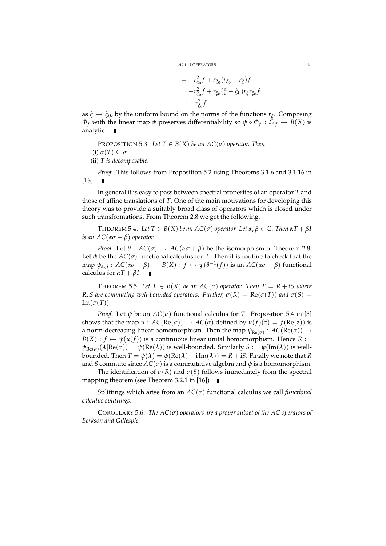$$
= -r_{\xi_0}^2 f + r_{\xi_0} (r_{\xi_0} - r_{\xi}) f
$$
  

$$
= -r_{\xi_0}^2 f + r_{\xi_0} (\xi - \xi_0) r_{\xi} r_{\xi_0} f
$$
  

$$
\rightarrow -r_{\xi_0}^2 f
$$

as *ξ* → *ξ*0, by the uniform bound on the norms of the functions *r<sup>ξ</sup>* . Composing *Φ*<sub>*f*</sub> with the linear map *ψ* preserves differentiability so  $\psi \circ \Phi_f : \Omega_f \to B(X)$  is analytic.

- PROPOSITION 5.3. Let  $T \in B(X)$  be an  $AC(\sigma)$  operator. Then  $(i)$   $\sigma(T) \subseteq \sigma$ .
- (ii) *T is decomposable.*

*Proof.* This follows from Proposition 5.2 using Theorems 3.1.6 and 3.1.16 in  $[16]$ .  $\blacksquare$ 

In general it is easy to pass between spectral properties of an operator *T* and those of affine translations of *T*. One of the main motivations for developing this theory was to provide a suitably broad class of operators which is closed under such transformations. From Theorem 2.8 we get the following.

THEOREM 5.4. *Let*  $T \in B(X)$  *be an AC*( $\sigma$ ) *operator. Let*  $\alpha, \beta \in \mathbb{C}$ *. Then*  $\alpha T + \beta I$ *is an AC*( $\alpha\sigma + \beta$ ) *operator.* 

*Proof.* Let  $\theta$  :  $AC(\sigma) \rightarrow AC(\alpha \sigma + \beta)$  be the isomorphism of Theorem 2.8. Let  $\psi$  be the  $AC(\sigma)$  functional calculus for *T*. Then it is routine to check that the  $\text{map } \psi_{\alpha,\beta}: AC(\alpha\sigma+\beta) \to B(X): f \mapsto \psi(\theta^{-1}(f))$  is an  $AC(\alpha\sigma+\beta)$  functional calculus for  $\alpha T + \beta I$ .  $\blacksquare$ 

THEOREM 5.5. Let  $T \in B(X)$  be an  $AC(\sigma)$  operator. Then  $T = R + iS$  where *R*, *S* are commuting well-bounded operators. Further,  $\sigma(R) = \text{Re}(\sigma(T))$  and  $\sigma(S) =$  $Im(\sigma(T)).$ 

*Proof.* Let  $\psi$  be an  $AC(\sigma)$  functional calculus for *T*. Proposition 5.4 in [3] shows that the map  $u : AC(Re(\sigma)) \to AC(\sigma)$  defined by  $u(f)(z) = f(Re(z))$  is a norm-decreasing linear homomorphism. Then the map  $\psi_{\text{Re}(\sigma)} : AC(\text{Re}(\sigma)) \rightarrow$  $B(X) : f \mapsto \psi(u(f))$  is a continuous linear unital homomorphism. Hence  $R :=$  $\psi_{\text{Re}(\sigma)}(\lambda | \text{Re}(\sigma)) = \psi(\text{Re}(\lambda))$  is well-bounded. Similarly  $S := \psi(\text{Im}(\lambda))$  is wellbounded. Then  $T = \psi(\lambda) = \psi(\text{Re}(\lambda) + i \text{Im}(\lambda)) = R + iS$ . Finally we note that *R* and *S* commute since  $AC(\sigma)$  is a commutative algebra and  $\psi$  is a homomorphism.

The identification of  $\sigma(R)$  and  $\sigma(S)$  follows immediately from the spectral mapping theorem (see Theorem 3.2.1 in [16])

Splittings which arise from an *AC*(*σ*) functional calculus we call *functional calculus splittings*.

COROLLARY 5.6. *The AC*(*σ*) *operators are a proper subset of the AC operators of Berkson and Gillespie.*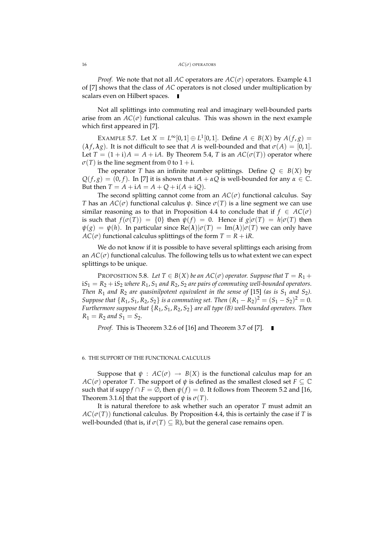#### 16 *AC*(*σ*) OPERATORS

*Proof.* We note that not all *AC* operators are  $AC(\sigma)$  operators. Example 4.1 of [7] shows that the class of *AC* operators is not closed under multiplication by scalars even on Hilbert spaces.

Not all splittings into commuting real and imaginary well-bounded parts arise from an  $AC(\sigma)$  functional calculus. This was shown in the next example which first appeared in [7].

EXAMPLE 5.7. Let  $X = L^{\infty}[0,1] \oplus L^{1}[0,1]$ . Define  $A \in B(X)$  by  $A(f,g) =$  $(\lambda f, \lambda g)$ . It is not difficult to see that *A* is well-bounded and that  $\sigma(A) = [0, 1]$ . Let  $T = (1 + i)A = A + iA$ . By Theorem 5.4, T is an  $AC(\sigma(T))$  operator where  $\sigma(T)$  is the line segment from 0 to  $1 + i$ .

The operator *T* has an infinite number splittings. Define  $Q \in B(X)$  by  $Q(f,g) = (0, f)$ . In [7] it is shown that  $A + \alpha Q$  is well-bounded for any  $\alpha \in \mathbb{C}$ . But then  $T = A + iA = A + Q + i(A + iQ)$ .

The second splitting cannot come from an  $AC(\sigma)$  functional calculus. Say *T* has an  $AC(\sigma)$  functional calculus  $\psi$ . Since  $\sigma(T)$  is a line segment we can use similar reasoning as to that in Proposition 4.4 to conclude that if  $f \in AC(\sigma)$ is such that  $f(\sigma(T)) = \{0\}$  then  $\psi(f) = 0$ . Hence if  $g|\sigma(T) = h|\sigma(T)$  then  $\psi(g) = \psi(h)$ . In particular since  $\text{Re}(\lambda) | \sigma(T) = \text{Im}(\lambda) | \sigma(T)$  we can only have  $AC(\sigma)$  functional calculus splittings of the form  $T = R + iR$ .

We do not know if it is possible to have several splittings each arising from an  $AC(\sigma)$  functional calculus. The following tells us to what extent we can expect splittings to be unique.

PROPOSITION 5.8. Let  $T \in B(X)$  be an  $AC(\sigma)$  operator. Suppose that  $T = R_1 +$  $iS_1 = R_2 + iS_2$  *where*  $R_1$ ,  $S_1$  *and*  $R_2$ ,  $S_2$  *are pairs of commuting well-bounded operators. Then*  $R_1$  *and*  $R_2$  *are quasinilpotent equivalent in the sense of* [15] *(as is*  $S_1$  *and*  $S_2$ *)*. *Suppose that*  $\{R_1, S_1, R_2, S_2\}$  *is a commuting set. Then*  $(R_1 - R_2)^2 = (S_1 - S_2)^2 = 0$ *. Furthermore suppose that* {*R*1, *S*1, *R*2, *S*2} *are all type (B) well-bounded operators. Then*  $R_1 = R_2$  *and*  $S_1 = S_2$ *.* 

*Proof.* This is Theorem 3.2.6 of [16] and Theorem 3.7 of [7]. ■

# 6. THE SUPPORT OF THE FUNCTIONAL CALCULUS

Suppose that  $\psi$  :  $AC(\sigma) \rightarrow B(X)$  is the functional calculus map for an  $AC(\sigma)$  operator *T*. The support of  $\psi$  is defined as the smallest closed set  $F \subseteq \mathbb{C}$ such that if supp $f \cap F = \emptyset$ , then  $\psi(f) = 0$ . It follows from Theorem 5.2 and [16, Theorem 3.1.6] that the support of  $\psi$  is  $\sigma(T)$ .

It is natural therefore to ask whether such an operator *T* must admit an  $AC(\sigma(T))$  functional calculus. By Proposition 4.4, this is certainly the case if *T* is well-bounded (that is, if  $\sigma(T) \subseteq \mathbb{R}$ ), but the general case remains open.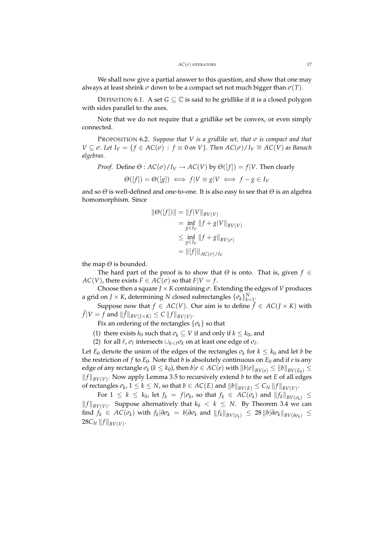We shall now give a partial answer to this question, and show that one may always at least shrink *σ* down to be a compact set not much bigger than *σ*(*T*).

DEFINITION 6.1. A set  $G \subseteq \mathbb{C}$  is said to be gridlike if it is a closed polygon with sides parallel to the axes.

Note that we do not require that a gridlike set be convex, or even simply connected.

PROPOSITION 6.2. *Suppose that V is a gridlike set, that σ is compact and that*  $V \subseteq \sigma$ . Let  $I_V = \{ f \in AC(\sigma) : f \equiv 0 \text{ on } V \}$ . Then  $AC(\sigma)/I_V \cong AC(V)$  as Banach *algebras.*

*Proof.* Define  $\Theta$  :  $AC(\sigma)/I_V \rightarrow AC(V)$  by  $\Theta([f]) = f|V$ . Then clearly

$$
\Theta([f]) = \Theta([g]) \iff f|V \equiv g|V \iff f - g \in I_V
$$

and so *Θ* is well-defined and one-to-one. It is also easy to see that *Θ* is an algebra homomorphism. Since

$$
\|\Theta([f])\| = \|f|V\|_{BV(V)}
$$
  
=  $\inf_{g \in I_V} \|f + g|V\|_{BV(V)}$   
 $\leq \inf_{g \in I_V} \|f + g\|_{BV(\sigma)}$   
=  $\|[f]\|_{AC(\sigma)/I_V}$ 

the map *Θ* is bounded.

The hard part of the proof is to show that *Θ* is onto. That is, given *f* ∈ *AC*(*V*), there exists  $F \in AC(\sigma)$  so that  $F|V = f$ .

Choose then a square  $J \times K$  containing  $\sigma$ . Extending the edges of *V* produces a grid on *J*  $\times$  *K*, determining *N* closed subrectangles  $\{\sigma_k\}_{k=1}^N$ .

Suppose now that  $f \in AC(V)$ . Our aim is to define  $\hat{f} \in AC(J \times K)$  with  $\hat{f}|V = f$  and  $\|\hat{f}\|_{BV(J \times K)} \leq C\,\|f\|_{BV(V)}.$ 

Fix an ordering of the rectangles  $\{\sigma_k\}$  so that

(1) there exists  $k_0$  such that  $\sigma_k \subseteq V$  if and only if  $k \leq k_0$ , and

(2) for all  $\ell$ ,  $\sigma_{\ell}$  intersects  $\cup_{k<\ell}\sigma_k$  on at least one edge of  $\sigma_{\ell}$ .

Let  $E_0$  denote the union of the edges of the rectangles  $\sigma_k$  for  $k \leq k_0$  and let *b* be the restriction of  $f$  to  $E_0$ . Note that  $b$  is absolutely continuous on  $E_0$  and if  $e$  is any  $e$ dge of any rectangle  $\sigma_k$  ( $k \leq k_0$ ), then  $b|e \in AC(e)$  with  $||b|e||_{BV(e)} \leq ||b||_{BV(E_0)} \leq$  $||f||_{BV(V)}$ . Now apply Lemma 3.5 to recursively extend *b* to the set *E* of all edges of rectangles  $\sigma_k$ ,  $1 \leq k \leq N$ , so that  $b \in AC(E)$  and  $||b||_{BV(E)} \leq C_N ||f||_{BV(V)}$ .

For  $1 \leq k \leq k_0$ , let  $f_k = f | \sigma_k$ , so that  $f_k \in AC(\sigma_k)$  and  $|| f_k ||_{BV(\sigma_k)} \leq$  $||f||_{BV(V)}$ . Suppose alternatively that  $k_0 < k \leq N$ . By Theorem 3.4 we can find  $f_k \in AC(\sigma_k)$  with  $f_k | \partial \sigma_k = b | \partial \sigma_k$  and  $||f_k||_{BV(\sigma_k)} \leq 28 ||b| \partial \sigma_k ||_{BV(\partial \sigma_k)} \leq$  $28C_N \, \|f\|_{BV(V)}.$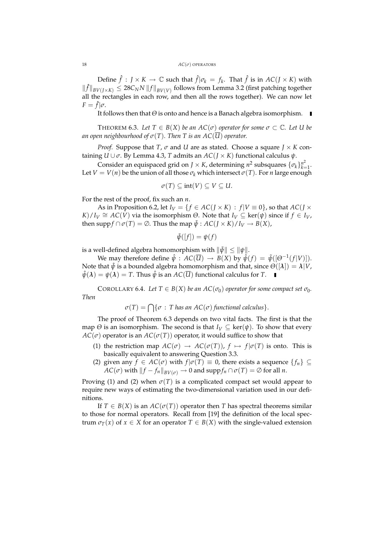#### 18 *AC*(*σ*) OPERATORS

Define  $\hat{f}$  :  $J \times K \to \mathbb{C}$  such that  $\hat{f} | \sigma_k = f_k$ . That  $\hat{f}$  is in  $AC(J \times K)$  with  $\| \hat{f} \|_{BV(J \times K)} \leq 28 C_N N \, \| f \|_{BV(V)}$  follows from Lemma 3.2 (first patching together all the rectangles in each row, and then all the rows together). We can now let  $F = \hat{f}|\sigma.$ 

It follows then that *Θ* is onto and hence is a Banach algebra isomorphism.

THEOREM 6.3. Let  $T \in B(X)$  be an  $AC(\sigma)$  operator for some  $\sigma \subset \mathbb{C}$ . Let U be *an open neighbourhood of*  $\sigma(T)$ *. Then T is an AC*( $\overline{U}$ ) *operator.* 

*Proof.* Suppose that *T*,  $\sigma$  and *U* are as stated. Choose a square  $I \times K$  containing *U* ∪ *σ*. By Lemma 4.3, *T* admits an *AC*(*J* × *K*) functional calculus *ψ*.

Consider an equispaced grid on *J*  $\times$  *K*, determining *n*<sup>2</sup> subsquares  $\{\sigma_k\}_{k=1}^{n^2}$ *k*=1 . Let *V* = *V*(*n*) be the union of all those  $\sigma_k$  which intersect  $\sigma(T)$ . For *n* large enough

$$
\sigma(T) \subseteq \text{int}(V) \subseteq V \subseteq U.
$$

For the rest of the proof, fix such an *n*.

As in Proposition 6.2, let  $I_V = \{f \in AC(J \times K) : f|V \equiv 0\}$ , so that  $AC(J \times K)$  $K$ /*I*<sub>*V*</sub>  $\cong$  *AC*(*V*) via the isomorphism  $\Theta$ . Note that  $I_V \subseteq \text{ker}(\psi)$  since if  $f \in I_V$ , then supp  $f \cap \sigma(T) = \emptyset$ . Thus the map  $\tilde{\psi}: AC(I \times K)/I_V \rightarrow B(X)$ ,

$$
\tilde{\psi}([f]) = \psi(f)
$$

is a well-defined algebra homomorphism with  $\|\tilde{\psi}\| \leq \|\psi\|$ .

We may therefore define  $\hat{\psi}: AC(\overline{U}) \to B(X)$  by  $\hat{\psi}(f) = \tilde{\psi}([\Theta^{-1}(f|V)])$ . Note that  $\hat{\psi}$  is a bounded algebra homomorphism and that, since  $\Theta(|\lambda|) = \lambda |V$ ,  $\hat{\psi}(\lambda) = \psi(\lambda) = T$ . Thus  $\hat{\psi}$  is an  $AC(\overline{U})$  functional calculus for *T*.

COROLLARY 6.4. Let  $T \in B(X)$  *be an AC*( $\sigma_0$ ) *operator for some compact set*  $\sigma_0$ *. Then*

$$
\sigma(T) = \bigcap \{ \sigma : T \text{ has an AC}(\sigma) \text{ functional calculus} \}.
$$

The proof of Theorem 6.3 depends on two vital facts. The first is that the map  $\Theta$  is an isomorphism. The second is that  $I_V \subseteq \text{ker}(\psi)$ . To show that every  $AC(\sigma)$  operator is an  $AC(\sigma(T))$  operator, it would suffice to show that

- (1) the restriction map  $AC(\sigma) \rightarrow AC(\sigma(T))$ ,  $f \mapsto f(\sigma(T))$  is onto. This is basically equivalent to answering Question 3.3.
- (2) given any  $f \in AC(\sigma)$  with  $f | \sigma(T) \equiv 0$ , there exists a sequence  $\{f_n\} \subseteq$  $AC(\sigma)$  with  $||f - f_n||_{BV(\sigma)} \to 0$  and  $supp f_n \cap \sigma(T) = \emptyset$  for all *n*.

Proving (1) and (2) when  $\sigma(T)$  is a complicated compact set would appear to require new ways of estimating the two-dimensional variation used in our definitions.

If  $T \in B(X)$  is an  $AC(\sigma(T))$  operator then *T* has spectral theorems similar to those for normal operators. Recall from [19] the definition of the local spectrum  $\sigma_T(x)$  of  $x \in X$  for an operator  $T \in B(X)$  with the single-valued extension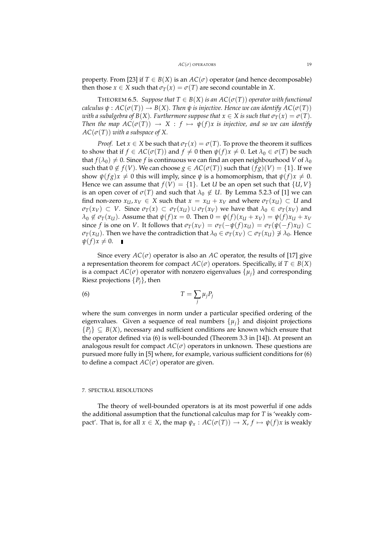property. From [23] if  $T \in B(X)$  is an  $AC(\sigma)$  operator (and hence decomposable) then those  $x \in X$  such that  $\sigma_T(x) = \sigma(T)$  are second countable in *X*.

**THEOREM 6.5.** *Suppose that*  $T \in B(X)$  *is an*  $AC(\sigma(T))$  *operator with functional calculus*  $\psi$  :  $AC(\sigma(T)) \rightarrow B(X)$ *. Then*  $\psi$  *is injective. Hence we can identify*  $AC(\sigma(T))$ *with a subalgebra of B(X). Furthermore suppose that*  $x \in X$  *is such that*  $\sigma_T(x) = \sigma(T)$ *. Then the map*  $AC(\sigma(T)) \rightarrow X : f \mapsto \psi(f)x$  *is injective, and so we can identify*  $AC(\sigma(T))$  *with a subspace of X.* 

*Proof.* Let  $x \in X$  be such that  $\sigma_T(x) = \sigma(T)$ . To prove the theorem it suffices to show that if  $f \in AC(\sigma(T))$  and  $f \neq 0$  then  $\psi(f)x \neq 0$ . Let  $\lambda_0 \in \sigma(T)$  be such that  $f(\lambda_0) \neq 0$ . Since *f* is continuous we can find an open neighbourhood *V* of  $\lambda_0$ such that  $0 \notin f(V)$ . We can choose  $g \in AC(\sigma(T))$  such that  $(fg)(V) = \{1\}$ . If we show  $\psi(fg)x \neq 0$  this will imply, since  $\psi$  is a homomorphism, that  $\psi(f)x \neq 0$ . Hence we can assume that  $f(V) = \{1\}$ . Let *U* be an open set such that  $\{U, V\}$ is an open cover of  $\sigma(T)$  and such that  $\lambda_0 \notin U$ . By Lemma 5.2.3 of [1] we can find non-zero  $x_U, x_V \in X$  such that  $x = x_U + x_V$  and where  $\sigma_T(x_U) \subset U$  and  $\sigma_T(x_V) \subset V$ . Since  $\sigma_T(x) \subset \sigma_T(x_U) \cup \sigma_T(x_V)$  we have that  $\lambda_0 \in \sigma_T(x_V)$  and  $\lambda_0 \notin \sigma_T(x_U)$ . Assume that  $\psi(f)x = 0$ . Then  $0 = \psi(f)(x_U + x_V) = \psi(f)x_U + x_V$ since *f* is one on *V*. It follows that  $\sigma_T(x_V) = \sigma_T(-\psi(f)x_U) = \sigma_T(\psi(-f)x_U) \subset$ *σ*<sub>*T*</sub>(*x*<sub>*U*</sub>). Then we have the contradiction that  $λ$ <sup>0</sup> ∈ *σT*(*x*<sup>*V*</sup>) ⊂ *σT*(*x*<sub>*U*</sub>) ∌  $λ$ <sup>0</sup>. Hence  $\psi(f)x \neq 0.$ 

Since every  $AC(\sigma)$  operator is also an  $AC$  operator, the results of [17] give a representation theorem for compact  $AC(\sigma)$  operators. Specifically, if  $T \in B(X)$ is a compact  $AC(\sigma)$  operator with nonzero eigenvalues  $\{\mu_i\}$  and corresponding Riesz projections  $\{P_i\}$ , then

$$
T = \sum_{j} \mu_{j} P_{j}
$$

where the sum converges in norm under a particular specified ordering of the eigenvalues. Given a sequence of real numbers  $\{u_i\}$  and disjoint projections  ${P_i} \subseteq B(X)$ , necessary and sufficient conditions are known which ensure that the operator defined via (6) is well-bounded (Theorem 3.3 in [14]). At present an analogous result for compact  $AC(\sigma)$  operators in unknown. These questions are pursued more fully in [5] where, for example, various sufficient conditions for (6) to define a compact  $AC(\sigma)$  operator are given.

### 7. SPECTRAL RESOLUTIONS

The theory of well-bounded operators is at its most powerful if one adds the additional assumption that the functional calculus map for *T* is 'weakly compact'. That is, for all  $\bar{x} \in X$ , the map  $\psi_x : AC(\sigma(T)) \to X$ ,  $f \mapsto \psi(f)x$  is weakly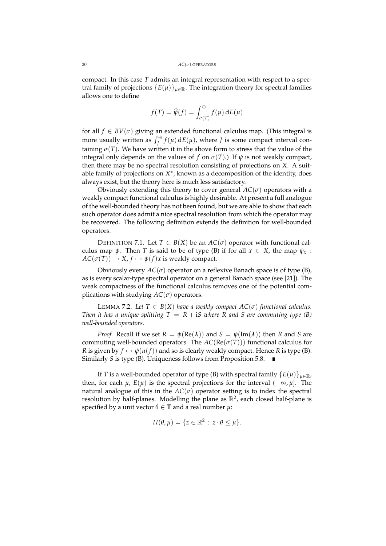compact. In this case *T* admits an integral representation with respect to a spectral family of projections  ${E(\mu)}_{\mu \in \mathbb{R}}$ . The integration theory for spectral families allows one to define

$$
f(T) = \widehat{\psi}(f) = \int_{\sigma(T)}^{\oplus} f(\mu) \, dE(\mu)
$$

for all  $f \in BV(\sigma)$  giving an extended functional calculus map. (This integral is more usually written as  $\int_J^{\oplus} f(\mu) dE(\mu)$ , where *J* is some compact interval containing  $\sigma(T)$ . We have written it in the above form to stress that the value of the integral only depends on the values of *f* on  $\sigma(T)$ .) If  $\psi$  is not weakly compact, then there may be no spectral resolution consisting of projections on *X*. A suitable family of projections on X<sup>\*</sup>, known as a decomposition of the identity, does always exist, but the theory here is much less satisfactory.

Obviously extending this theory to cover general  $AC(\sigma)$  operators with a weakly compact functional calculus is highly desirable. At present a full analogue of the well-bounded theory has not been found, but we are able to show that each such operator does admit a nice spectral resolution from which the operator may be recovered. The following definition extends the definition for well-bounded operators.

DEFINITION 7.1. Let  $T \in B(X)$  be an  $AC(\sigma)$  operator with functional calculus map  $\psi$ . Then *T* is said to be of type (B) if for all  $x \in X$ , the map  $\psi_x$ :  $AC(\sigma(T)) \rightarrow X$ ,  $f \mapsto \psi(f)x$  is weakly compact.

Obviously every  $AC(\sigma)$  operator on a reflexive Banach space is of type (B), as is every scalar-type spectral operator on a general Banach space (see [21]). The weak compactness of the functional calculus removes one of the potential complications with studying  $AC(\sigma)$  operators.

LEMMA 7.2. Let  $T \in B(X)$  have a weakly compact  $AC(\sigma)$  functional calculus. *Then it has a unique splitting*  $T = R + iS$  *where R and S are commuting type (B) well-bounded operators.*

*Proof.* Recall if we set  $R = \psi(\text{Re}(\lambda))$  and  $S = \psi(\text{Im}(\lambda))$  then *R* and *S* are commuting well-bounded operators. The  $AC(Re(\sigma(T)))$  functional calculus for *R* is given by  $f \mapsto \psi(u(f))$  and so is clearly weakly compact. Hence *R* is type (B). Similarly *S* is type (B). Uniqueness follows from Proposition 5.8.

If *T* is a well-bounded operator of type (B) with spectral family  ${E(\mu)}_{\mu \in \mathbb{R}}$ , then, for each  $\mu$ ,  $E(\mu)$  is the spectral projections for the interval  $(-\infty, \mu]$ . The natural analogue of this in the  $AC(\sigma)$  operator setting is to index the spectral resolution by half-planes. Modelling the plane as  $\mathbb{R}^2$ , each closed half-plane is specified by a unit vector  $\theta \in \mathbb{T}$  and a real number  $\mu$ :

$$
H(\theta,\mu)=\{z\in\mathbb{R}^2\,:\,z\cdot\theta\leq\mu\}.
$$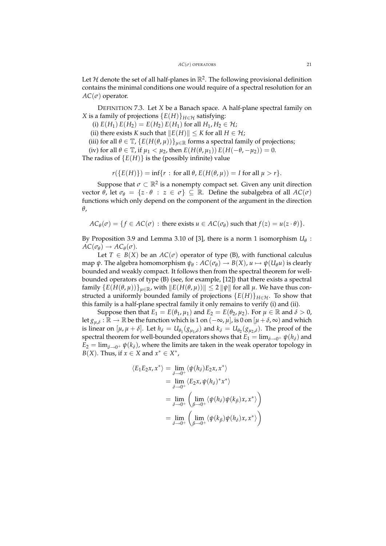Let  $H$  denote the set of all half-planes in  $\mathbb{R}^2$ . The following provisional definition contains the minimal conditions one would require of a spectral resolution for an  $AC(\sigma)$  operator.

DEFINITION 7.3. Let *X* be a Banach space. A half-plane spectral family on *X* is a family of projections  ${E(H)}_{H \in H}$  satisfying:

(i)  $E(H_1) E(H_2) = E(H_2) E(H_1)$  for all  $H_1, H_2 \in \mathcal{H}$ ;

(ii) there exists *K* such that  $||E(H)|| \le K$  for all  $H \in \mathcal{H}$ ;

(iii) for all  $\theta \in \mathbb{T}$ ,  $\{E(H(\theta, \mu))\}_{\mu \in \mathbb{R}}$  forms a spectral family of projections;

(iv) for all  $\theta \in \mathbb{T}$ , if  $\mu_1 < \mu_2$ , then  $E(H(\theta, \mu_1)) E(H(-\theta, -\mu_2)) = 0$ .

The radius of  ${E(H)}$  is the (possibly infinite) value

$$
r({E(H)})=\inf\{r: \text{ for all } \theta, E(H(\theta,\mu))=I \text{ for all } \mu>r\}.
$$

Suppose that  $\sigma \subset \mathbb{R}^2$  is a nonempty compact set. Given any unit direction vector *θ*, let *σ*<sup>*θ*</sup> = {*z* · *θ* : *z* ∈ *σ*} ⊆ ℝ. Define the subalgebra of all *AC*(*σ*) functions which only depend on the component of the argument in the direction *θ*,

 $AC_{\theta}(\sigma) = \{ f \in AC(\sigma) : \text{there exists } u \in AC(\sigma_{\theta}) \text{ such that } f(z) = u(z \cdot \theta) \}.$ 

By Proposition 3.9 and Lemma 3.10 of [3], there is a norm 1 isomorphism  $U_{\theta}$  :  $AC(\sigma_{\theta}) \rightarrow AC_{\theta}(\sigma)$ .

Let  $T \in B(X)$  be an  $AC(\sigma)$  operator of type (B), with functional calculus map  $\psi$ . The algebra homomorphism  $\psi_{\theta}: AC(\sigma_{\theta}) \to B(X)$ ,  $u \mapsto \psi(U_{\theta}u)$  is clearly bounded and weakly compact. It follows then from the spectral theorem for wellbounded operators of type (B) (see, for example, [12]) that there exists a spectral  ${\rm family}$  { $E(H(\theta, \mu))$ } $_{\mu \in \mathbb{R}}$ , with  $\Vert E(H(\theta, \mu)) \Vert \leq 2 \Vert \psi \Vert$  for all  $\mu$ . We have thus constructed a uniformly bounded family of projections  $\{E(H)\}_{H\in\mathcal{H}}$ . To show that this family is a half-plane spectral family it only remains to verify (i) and (ii).

Suppose then that  $E_1 = E(\theta_1, \mu_1)$  and  $E_2 = E(\theta_2, \mu_2)$ . For  $\mu \in \mathbb{R}$  and  $\delta > 0$ , let  $g_{\mu,\delta}:\overline{\R}\to\mathbb{R}$  be the function which is 1 on  $(-\infty,\mu]$ , is 0 on  $[\mu+\delta,\infty)$  and which is linear on  $[\mu, \mu + \delta]$ . Let  $h_{\delta} = U_{\theta_1}(g_{\mu_1,\delta})$  and  $k_{\delta} = U_{\theta_2}(g_{\mu_2,\delta})$ . The proof of the spectral theorem for well-bounded operators shows that  $E_1 = \lim_{\delta \to 0^+} \psi(h_\delta)$  and  $E_2 = \lim_{\delta \to 0^+} \psi(k_\delta)$ , where the limits are taken in the weak operator topology in *B*(*X*). Thus, if  $x \in X$  and  $x^* \in X^*$ ,

$$
\langle E_1 E_2 x, x^* \rangle = \lim_{\delta \to 0^+} \langle \psi(h_\delta) E_2 x, x^* \rangle
$$
  
\n
$$
= \lim_{\delta \to 0^+} \langle E_2 x, \psi(h_\delta)^* x^* \rangle
$$
  
\n
$$
= \lim_{\delta \to 0^+} \left( \lim_{\beta \to 0^+} \langle \psi(h_\delta) \psi(k_\beta) x, x^* \rangle \right)
$$
  
\n
$$
= \lim_{\delta \to 0^+} \left( \lim_{\beta \to 0^+} \langle \psi(k_\beta) \psi(h_\delta) x, x^* \rangle \right)
$$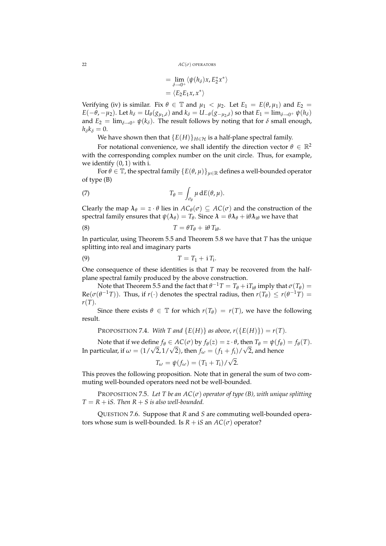22 *AC*(*σ*) OPERATORS

$$
= \lim_{\delta \to 0^+} \langle \psi(h_\delta) x, E_2^* x^* \rangle
$$
  
=  $\langle E_2 E_1 x, x^* \rangle$ 

Verifying (iv) is similar. Fix  $\theta \in \mathbb{T}$  and  $\mu_1 < \mu_2$ . Let  $E_1 = E(\theta, \mu_1)$  and  $E_2 =$  $E(-\theta,-\mu_2).$  Let  $h_\delta=U_\theta(g_{\mu_1,\delta})$  and  $k_\delta=U_{-\theta}(g_{-\mu_2,\delta})$  so that  $E_1=\lim_{\delta\to 0^+}\psi(h_\delta)$ and  $E_2 = \lim_{\delta \to 0^+} \psi(k_\delta)$ . The result follows by noting that for  $\delta$  small enough,  $h_{\delta}k_{\delta}=0.$ 

We have shown then that  ${E(H)}_{H \in H}$  is a half-plane spectral family.

For notational convenience, we shall identify the direction vector  $\theta \in \mathbb{R}^2$ with the corresponding complex number on the unit circle. Thus, for example, we identify  $(0, 1)$  with i.

For  $\theta \in \mathbb{T}$ , the spectral family  $\{E(\theta, \mu)\}_{\mu \in \mathbb{R}}$  defines a well-bounded operator of type (B)

(7) 
$$
T_{\theta} = \int_{\sigma_{\theta}} \mu \, dE(\theta, \mu).
$$

Clearly the map  $\lambda_{\theta} = z \cdot \theta$  lies in  $AC_{\theta}(\sigma) \subseteq AC(\sigma)$  and the construction of the spectral family ensures that  $\psi(\lambda_\theta) = T_\theta$ . Since  $\lambda = \theta \lambda_\theta + \mathrm{i} \theta \lambda_{\mathrm{i} \theta}$  we have that

(8) 
$$
T = \theta T_{\theta} + i\theta T_{i\theta}.
$$

In particular, using Theorem 5.5 and Theorem 5.8 we have that *T* has the unique splitting into real and imaginary parts

$$
(9) \t\t T = T_1 + i T_i.
$$

One consequence of these identities is that *T* may be recovered from the halfplane spectral family produced by the above construction.

Note that Theorem 5.5 and the fact that  $\theta^{-1}T = T_{\theta} + iT_{i\theta}$  imply that  $\sigma(T_{\theta}) =$  $\text{Re}(\sigma(\theta^{-1}T))$ . Thus, if  $r(\cdot)$  denotes the spectral radius, then  $r(T_{\theta}) \le r(\theta^{-1}T)$  = *r*(*T*).

Since there exists  $\theta \in \mathbb{T}$  for which  $r(T_{\theta}) = r(T)$ , we have the following result.

PROPOSITION 7.4. With T and 
$$
\{E(H)\}\
$$
as above,  $r(\{E(H)\}) = r(T)$ .

Note that if we define  $f_{\theta} \in AC(\sigma)$  by  $f_{\theta}(z) = z \cdot \theta$ , then  $T_{\theta} = \psi(f_{\theta}) = f_{\theta}(T)$ . In particular, if  $\omega = (1/\sqrt{2}, 1/\sqrt{2})$ , then  $f_{\omega} = (f_1 + f_i)/\sqrt{2}$ , and hence √

$$
T_{\omega} = \psi(f_{\omega}) = (T_1 + T_i) / \sqrt{2}.
$$

This proves the following proposition. Note that in general the sum of two commuting well-bounded operators need not be well-bounded.

PROPOSITION 7.5. *Let T be an AC*(*σ*) *operator of type (B), with unique splitting*  $T = R + iS$ . Then  $R + S$  is also well-bounded.

QUESTION 7.6. Suppose that *R* and *S* are commuting well-bounded operators whose sum is well-bounded. Is  $R + iS$  an  $AC(\sigma)$  operator?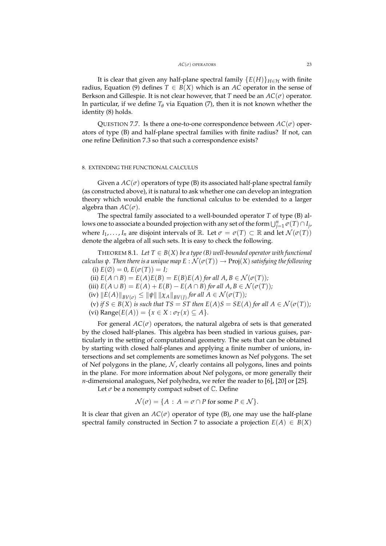It is clear that given any half-plane spectral family  ${E(H)}_{H \in H}$  with finite radius, Equation (9) defines  $T \in B(X)$  which is an AC operator in the sense of Berkson and Gillespie. It is not clear however, that *T* need be an  $AC(\sigma)$  operator. In particular, if we define  $T_\theta$  via Equation (7), then it is not known whether the identity (8) holds.

QUESTION 7.7. Is there a one-to-one correspondence between  $AC(\sigma)$  operators of type (B) and half-plane spectral families with finite radius? If not, can one refine Definition 7.3 so that such a correspondence exists?

# 8. EXTENDING THE FUNCTIONAL CALCULUS

Given a  $AC(\sigma)$  operators of type (B) its associated half-plane spectral family (as constructed above), it is natural to ask whether one can develop an integration theory which would enable the functional calculus to be extended to a larger algebra than  $AC(\sigma)$ .

The spectral family associated to a well-bounded operator *T* of type (B) allows one to associate a bounded projection with any set of the form  $\bigcup_{j=1}^n \sigma(T) \cap I_j$ , where  $I_1, \ldots, I_n$  are disjoint intervals of  $\mathbb{R}$ . Let  $\sigma = \sigma(T) \subset \mathbb{R}$  and let  $\mathcal{N}(\sigma(T))$ denote the algebra of all such sets. It is easy to check the following.

THEOREM 8.1. Let  $T \in B(X)$  be a type (B) well-bounded operator with functional *calculus*  $\psi$ *. Then there is a unique map*  $E : \mathcal{N}(\sigma(T)) \to \text{Proj}(X)$  *satisfying the following* (i)  $E(\emptyset) = 0$ ,  $E(\sigma(T)) = I$ ;

(ii)  $E(A \cap B) = E(A)E(B) = E(B)E(A)$  *for all*  $A, B \in \mathcal{N}(\sigma(T))$ *;* 

(iii)  $E(A \cup B) = E(A) + E(B) - E(A \cap B)$  *for all*  $A, B \in \mathcal{N}(\sigma(T))$ *;* 

 $f(\text{iv})$   $||E(A)||_{BV(\sigma)} \leq ||\psi|| \, ||\chi_A||_{BV(J)}$  for all  $A \in \mathcal{N}(\sigma(T))$ *;* 

(v) *if*  $S \in B(X)$  *is such that*  $TS = ST$  *then*  $E(A)S = SE(A)$  *for all*  $A \in \mathcal{N}(\sigma(T))$ *;*  $(vi)$  Range $(E(A)) = \{x \in X : \sigma_T(x) \subseteq A\}.$ 

For general  $AC(\sigma)$  operators, the natural algebra of sets is that generated by the closed half-planes. This algebra has been studied in various guises, particularly in the setting of computational geometry. The sets that can be obtained by starting with closed half-planes and applying a finite number of unions, intersections and set complements are sometimes known as Nef polygons. The set of Nef polygons in the plane,  $N$ , clearly contains all polygons, lines and points in the plane. For more information about Nef polygons, or more generally their *n*-dimensional analogues, Nef polyhedra, we refer the reader to [6], [20] or [25].

Let  $\sigma$  be a nonempty compact subset of  $\mathbb C$ . Define

$$
\mathcal{N}(\sigma) = \{ A : A = \sigma \cap P \text{ for some } P \in \mathcal{N} \}.
$$

It is clear that given an  $AC(\sigma)$  operator of type (B), one may use the half-plane spectral family constructed in Section 7 to associate a projection  $E(A) \in B(X)$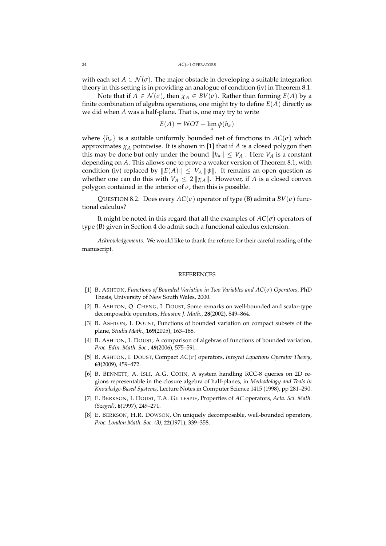with each set  $A \in \mathcal{N}(\sigma)$ . The major obstacle in developing a suitable integration theory in this setting is in providing an analogue of condition (iv) in Theorem 8.1.

Note that if  $A \in \mathcal{N}(\sigma)$ , then  $\chi_A \in BV(\sigma)$ . Rather than forming  $E(A)$  by a finite combination of algebra operations, one might try to define  $E(A)$  directly as we did when *A* was a half-plane. That is, one may try to write

$$
E(A) = WOT - \lim_{\alpha} \psi(h_{\alpha})
$$

where  $\{h_{\alpha}\}\$ is a suitable uniformly bounded net of functions in  $AC(\sigma)$  which approximates  $\chi_A$  pointwise. It is shown in [1] that if *A* is a closed polygon then this may be done but only under the bound  $||h_\alpha|| \leq V_A$ . Here  $V_A$  is a constant depending on *A*. This allows one to prove a weaker version of Theorem 8.1, with condition (iv) replaced by  $||E(A)|| \leq V_A ||\psi||$ . It remains an open question as whether one can do this with  $V_A \leq 2 ||\chi_A||$ . However, if *A* is a closed convex polygon contained in the interior of  $\sigma$ , then this is possible.

QUESTION 8.2. Does every  $AC(\sigma)$  operator of type (B) admit a  $BV(\sigma)$  functional calculus?

It might be noted in this regard that all the examples of  $AC(\sigma)$  operators of type (B) given in Section 4 do admit such a functional calculus extension.

*Acknowledgements.* We would like to thank the referee for their careful reading of the manuscript.

### **REFERENCES**

- [1] B. ASHTON, *Functions of Bounded Variation in Two Variables and AC*(*σ*) *Operators*, PhD Thesis, University of New South Wales, 2000.
- [2] B. ASHTON, Q. CHENG, I. DOUST, Some remarks on well-bounded and scalar-type decomposable operators, *Houston J. Math.*, **28**(2002), 849–864.
- [3] B. ASHTON, I. DOUST, Functions of bounded variation on compact subsets of the plane, *Studia Math.*, **169**(2005), 163–188.
- [4] B. ASHTON, I. DOUST, A comparison of algebras of functions of bounded variation, *Proc. Edin. Math. Soc.*, **49**(2006), 575–591.
- [5] B. ASHTON, I. DOUST, Compact *AC*(*σ*) operators, *Integral Equations Operator Theory*, **63**(2009), 459–472.
- [6] B. BENNETT, A. ISLI, A.G. COHN, A system handling RCC-8 queries on 2D regions representable in the closure algebra of half-planes, in *Methodology and Tools in Knowledge-Based Systems*, Lecture Notes in Computer Science 1415 (1998), pp 281–290.
- [7] E. BERKSON, I. DOUST, T.A. GILLESPIE, Properties of *AC* operators, *Acta. Sci. Math. (Szeged)*, **6**(1997), 249–271.
- [8] E. BERKSON, H.R. DOWSON, On uniquely decomposable, well-bounded operators, *Proc. London Math. Soc. (3)*, **22**(1971), 339–358.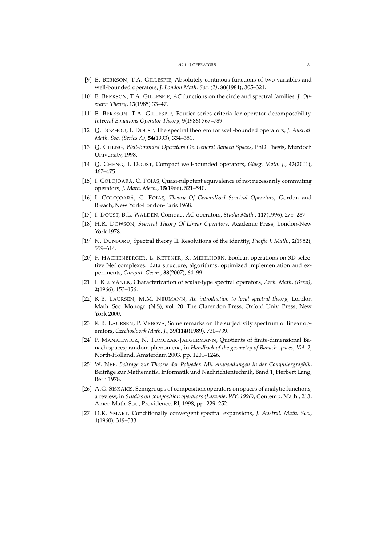- [9] E. BERKSON, T.A. GILLESPIE, Absolutely continous functions of two variables and well-bounded operators, *J. London Math. Soc. (2)*, **30**(1984), 305–321.
- [10] E. BERKSON, T.A. GILLESPIE, *AC* functions on the circle and spectral families, *J. Operator Theory*, **13**(1985) 33–47.
- [11] E. BERKSON, T.A. GILLESPIE, Fourier series criteria for operator decomposability, *Integral Equations Operator Theory*, **9**(1986) 767–789.
- [12] Q. BOZHOU, I. DOUST, The spectral theorem for well-bounded operators, *J. Austral. Math. Soc. (Series A)*, **54**(1993), 334–351.
- [13] Q. CHENG, *Well-Bounded Operators On General Banach Spaces*, PhD Thesis, Murdoch University, 1998.
- [14] Q. CHENG, I. DOUST, Compact well-bounded operators, *Glasg. Math. J.*, **43**(2001), 467–475.
- [15] I. COLOJOARĂ, C. FOIAȘ, Quasi-nilpotent equivalence of not necessarily commuting operators, *J. Math. Mech.*, **15**(1966), 521–540.
- [16] I. COLOJOARĂ, C. FOIAŞ, *Theory Of Generalized Spectral Operators*, Gordon and Breach, New York-London-Paris 1968.
- [17] I. DOUST, B.L. WALDEN, Compact *AC*-operators, *Studia Math.*, **117**(1996), 275–287.
- [18] H.R. DOWSON, *Spectral Theory Of Linear Operators*, Academic Press, London-New York 1978.
- [19] N. DUNFORD, Spectral theory II. Resolutions of the identity, *Pacific J. Math.*, **2**(1952), 559–614.
- [20] P. HACHENBERGER, L. KETTNER, K. MEHLHORN, Boolean operations on 3D selective Nef complexes: data structure, algorithms, optimized implementation and experiments, *Comput. Geom.*, **38**(2007), 64–99.
- [21] I. KLUVÁNEK, Characterization of scalar-type spectral operators, *Arch. Math. (Brno)*, **2**(1966), 153–156.
- [22] K.B. LAURSEN, M.M. NEUMANN, *An introduction to local spectral theory*, London Math. Soc. Monogr. (N.S), vol. 20. The Clarendon Press, Oxford Univ. Press, New York 2000.
- [23] K.B. LAURSEN, P. VRBOVÁ, Some remarks on the surjectivity spectrum of linear operators, *Czechoslovak Math. J.*, **39(114)**(1989), 730–739.
- [24] P. MANKIEWICZ, N. TOMCZAK-JAEGERMANN, Quotients of finite-dimensional Banach spaces; random phenomena, in *Handbook of the geometry of Banach spaces, Vol. 2*, North-Holland, Amsterdam 2003, pp. 1201–1246.
- [25] W. NEF, *Beiträge zur Theorie der Polyeder. Mit Anwendungen in der Computergraphik*, Beiträge zur Mathematik, Informatik und Nachrichtentechnik, Band 1, Herbert Lang, Bern 1978.
- [26] A.G. SISKAKIS, Semigroups of composition operators on spaces of analytic functions, a review, in *Studies on composition operators (Laramie, WY, 1996)*, Contemp. Math., 213, Amer. Math. Soc., Providence, RI, 1998, pp. 229–252.
- [27] D.R. SMART, Conditionally convergent spectral expansions, *J. Austral. Math. Soc.*, **1**(1960), 319–333.